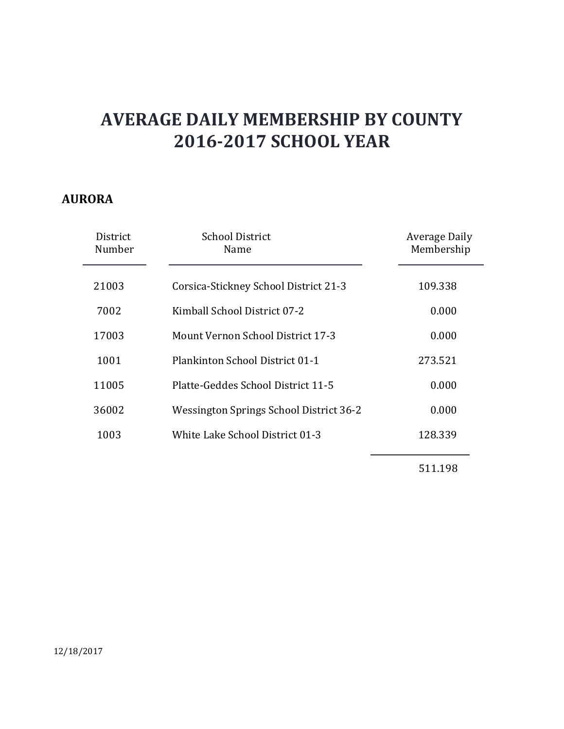#### **AURORA**

| District<br>Number | <b>School District</b><br>Name          | <b>Average Daily</b><br>Membership |
|--------------------|-----------------------------------------|------------------------------------|
| 21003              | Corsica-Stickney School District 21-3   | 109.338                            |
| 7002               | Kimball School District 07-2            | 0.000                              |
| 17003              | Mount Vernon School District 17-3       | 0.000                              |
| 1001               | Plankinton School District 01-1         | 273.521                            |
| 11005              | Platte-Geddes School District 11-5      | 0.000                              |
| 36002              | Wessington Springs School District 36-2 | 0.000                              |
| 1003               | White Lake School District 01-3         | 128.339                            |
|                    |                                         | 511.198                            |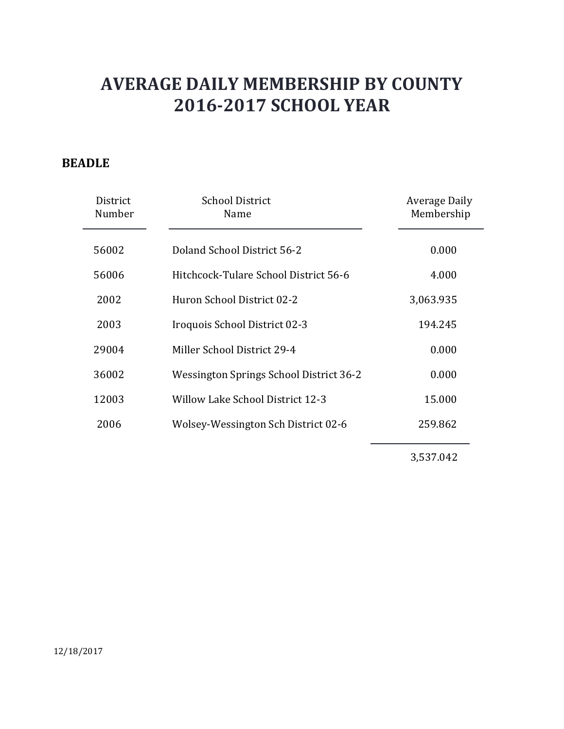### **BEADLE**

| District<br>Number | <b>School District</b><br>Name          | Average Daily<br>Membership |
|--------------------|-----------------------------------------|-----------------------------|
| 56002              | Doland School District 56-2             | 0.000                       |
| 56006              | Hitchcock-Tulare School District 56-6   | 4.000                       |
| 2002               | Huron School District 02-2              | 3,063.935                   |
| 2003               | Iroquois School District 02-3           | 194.245                     |
| 29004              | Miller School District 29-4             | 0.000                       |
| 36002              | Wessington Springs School District 36-2 | 0.000                       |
| 12003              | <b>Willow Lake School District 12-3</b> | 15.000                      |
| 2006               | Wolsey-Wessington Sch District 02-6     | 259.862                     |
|                    |                                         |                             |

3,537.042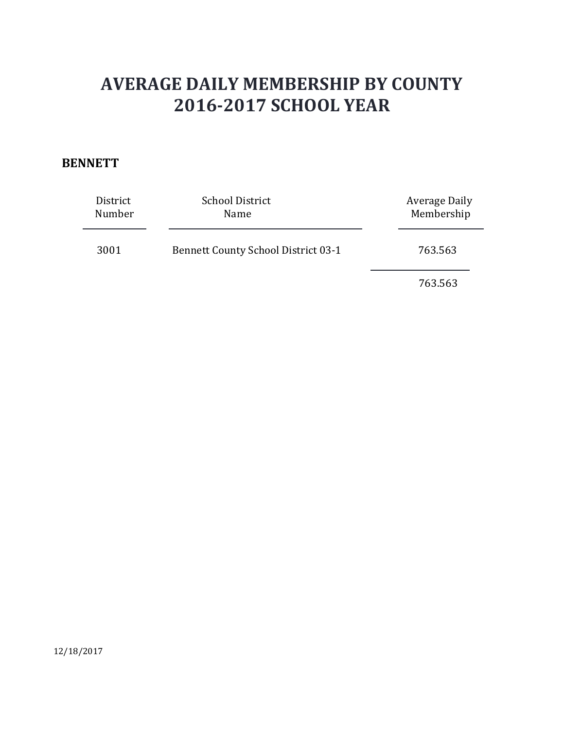#### **BENNETT**

| District<br>Number | <b>School District</b><br>Name             | Average Daily<br>Membership |
|--------------------|--------------------------------------------|-----------------------------|
| 3001               | <b>Bennett County School District 03-1</b> | 763.563                     |
|                    |                                            | 763.563                     |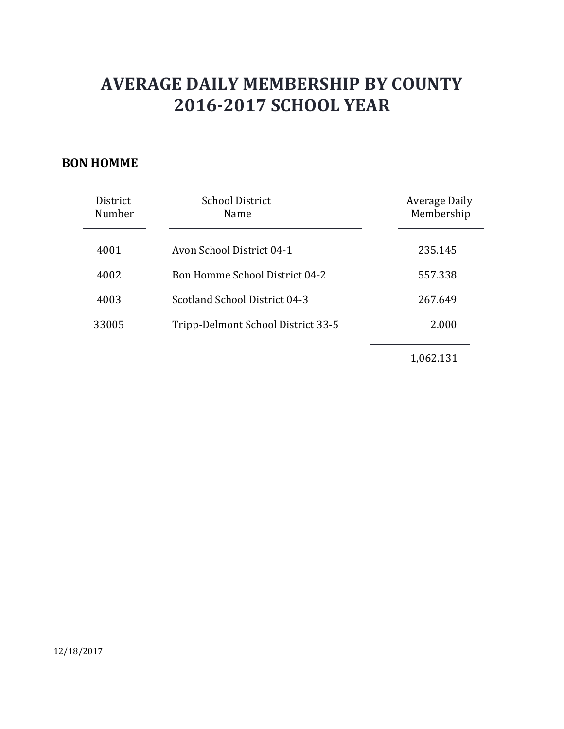### **BON HOMME**

| District<br>Number | <b>School District</b><br>Name        | Average Daily<br>Membership |
|--------------------|---------------------------------------|-----------------------------|
| 4001               | Avon School District 04-1             | 235.145                     |
| 4002               | <b>Bon Homme School District 04-2</b> | 557.338                     |
| 4003               | Scotland School District 04-3         | 267.649                     |
| 33005              | Tripp-Delmont School District 33-5    | 2.000                       |
|                    |                                       | 1,062.131                   |

12/18/2017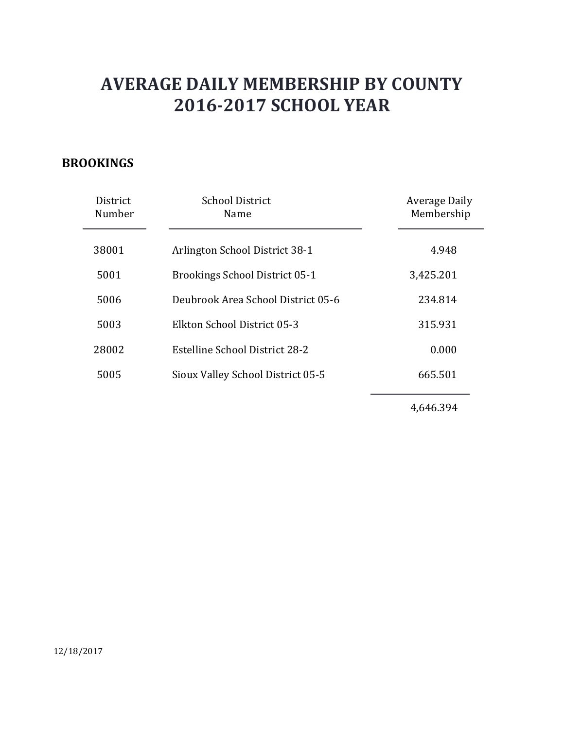### **BROOKINGS**

| District<br>Number | <b>School District</b><br>Name        | Average Daily<br>Membership |
|--------------------|---------------------------------------|-----------------------------|
| 38001              | Arlington School District 38-1        | 4.948                       |
| 5001               | <b>Brookings School District 05-1</b> | 3,425.201                   |
| 5006               | Deubrook Area School District 05-6    | 234.814                     |
| 5003               | Elkton School District 05-3           | 315.931                     |
| 28002              | Estelline School District 28-2        | 0.000                       |
| 5005               | Sioux Valley School District 05-5     | 665.501                     |
|                    |                                       |                             |

4,646.394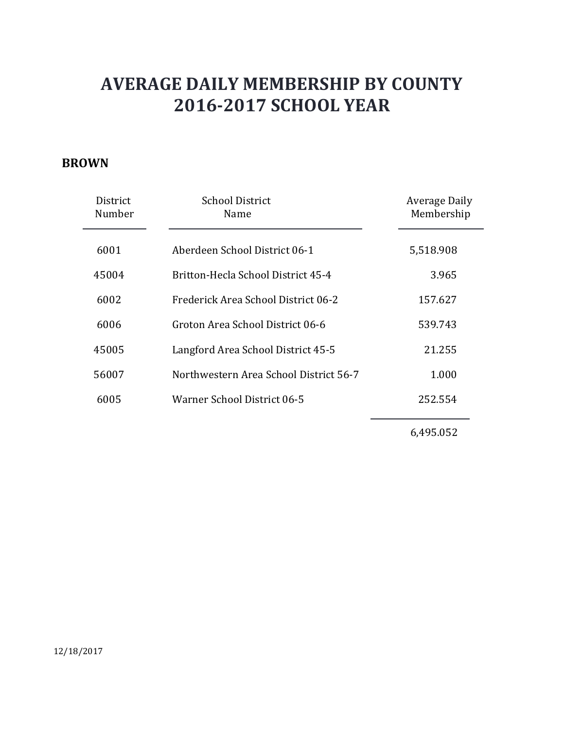#### **BROWN**

| District<br>Number | School District<br>Name                | <b>Average Daily</b><br>Membership |
|--------------------|----------------------------------------|------------------------------------|
| 6001               | Aberdeen School District 06-1          | 5,518.908                          |
| 45004              | Britton-Hecla School District 45-4     | 3.965                              |
| 6002               | Frederick Area School District 06-2    | 157.627                            |
| 6006               | Groton Area School District 06-6       | 539.743                            |
| 45005              | Langford Area School District 45-5     | 21.255                             |
| 56007              | Northwestern Area School District 56-7 | 1.000                              |
| 6005               | Warner School District 06-5            | 252.554                            |
|                    |                                        |                                    |

6,495.052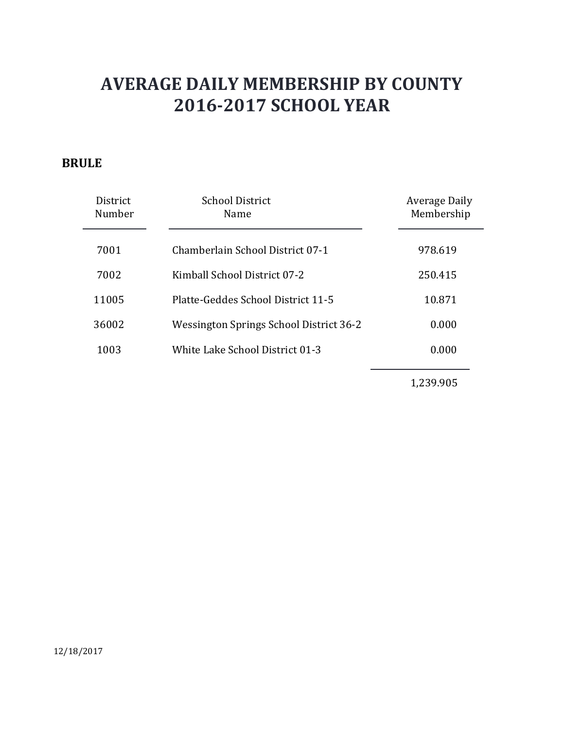### **BRULE**

| <b>District</b><br>Number | <b>School District</b><br>Name          | Average Daily<br>Membership |
|---------------------------|-----------------------------------------|-----------------------------|
| 7001                      | Chamberlain School District 07-1        | 978.619                     |
| 7002                      | Kimball School District 07-2            | 250.415                     |
| 11005                     | Platte-Geddes School District 11-5      | 10.871                      |
| 36002                     | Wessington Springs School District 36-2 | 0.000                       |
| 1003                      | White Lake School District 01-3         | 0.000                       |
|                           |                                         |                             |

1,239.905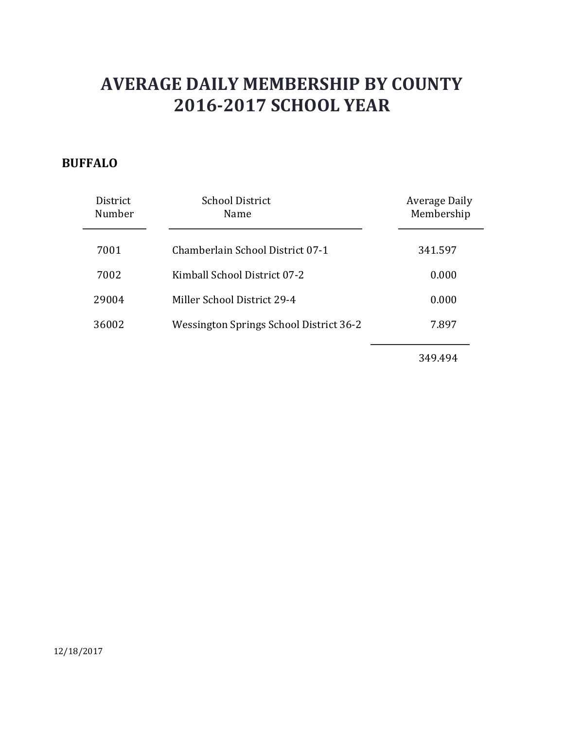### **BUFFALO**

| District<br>Number | <b>School District</b><br>Name                 | Average Daily<br>Membership |
|--------------------|------------------------------------------------|-----------------------------|
| 7001               | Chamberlain School District 07-1               | 341.597                     |
| 7002               | Kimball School District 07-2                   | 0.000                       |
| 29004              | Miller School District 29-4                    | 0.000                       |
| 36002              | <b>Wessington Springs School District 36-2</b> | 7.897                       |
|                    |                                                |                             |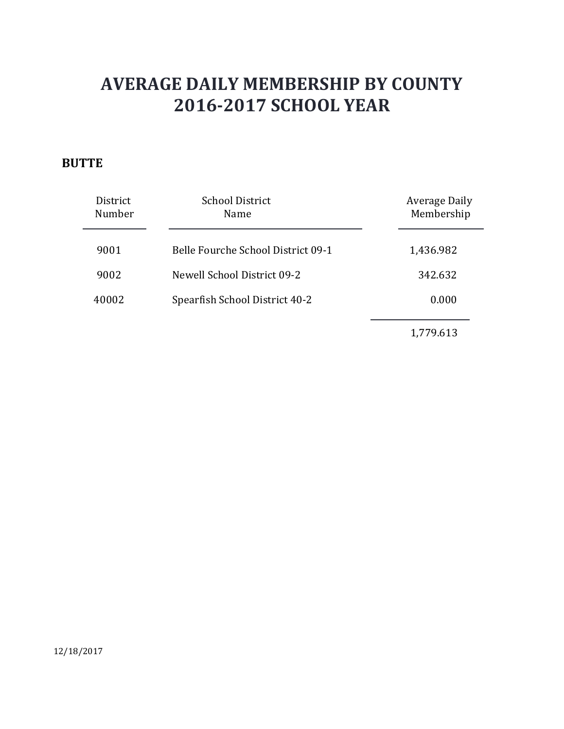### **BUTTE**

| District<br>Number | <b>School District</b><br>Name     | Average Daily<br>Membership |
|--------------------|------------------------------------|-----------------------------|
| 9001               | Belle Fourche School District 09-1 | 1,436.982                   |
| 9002               | Newell School District 09-2        | 342.632                     |
| 40002              | Spearfish School District 40-2     | 0.000                       |
|                    |                                    | 1,779.613                   |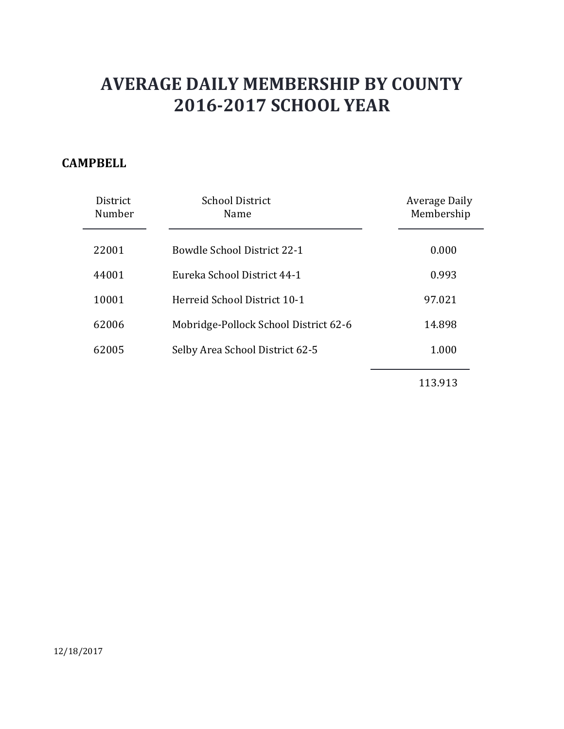### **CAMPBELL**

| District<br>Number | <b>School District</b><br>Name        | Average Daily<br>Membership |
|--------------------|---------------------------------------|-----------------------------|
| 22001              | <b>Bowdle School District 22-1</b>    | 0.000                       |
| 44001              | Eureka School District 44-1           | 0.993                       |
| 10001              | Herreid School District 10-1          | 97.021                      |
| 62006              | Mobridge-Pollock School District 62-6 | 14.898                      |
| 62005              | Selby Area School District 62-5       | 1.000                       |
|                    |                                       |                             |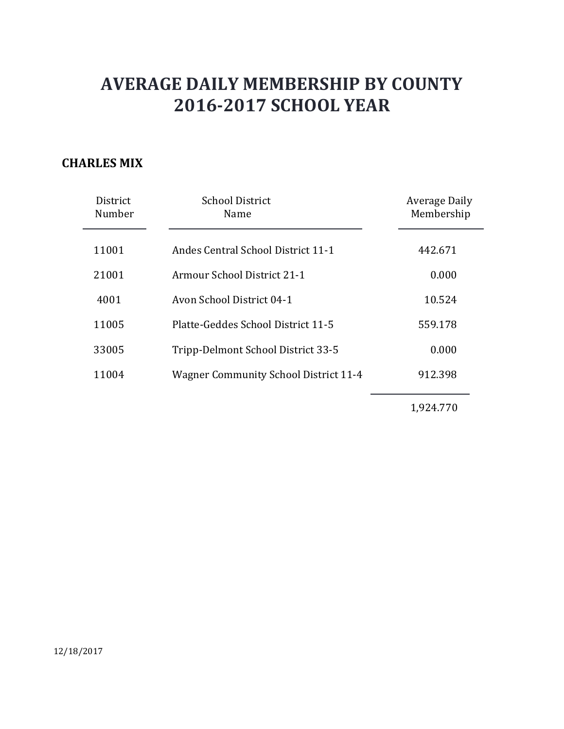### **CHARLES MIX**

| District<br>Number | <b>School District</b><br>Name               | Average Daily<br>Membership |
|--------------------|----------------------------------------------|-----------------------------|
| 11001              | Andes Central School District 11-1           | 442.671                     |
| 21001              | Armour School District 21-1                  | 0.000                       |
| 4001               | Avon School District 04-1                    | 10.524                      |
| 11005              | Platte-Geddes School District 11-5           | 559.178                     |
| 33005              | Tripp-Delmont School District 33-5           | 0.000                       |
| 11004              | <b>Wagner Community School District 11-4</b> | 912.398                     |
|                    |                                              |                             |

1,924.770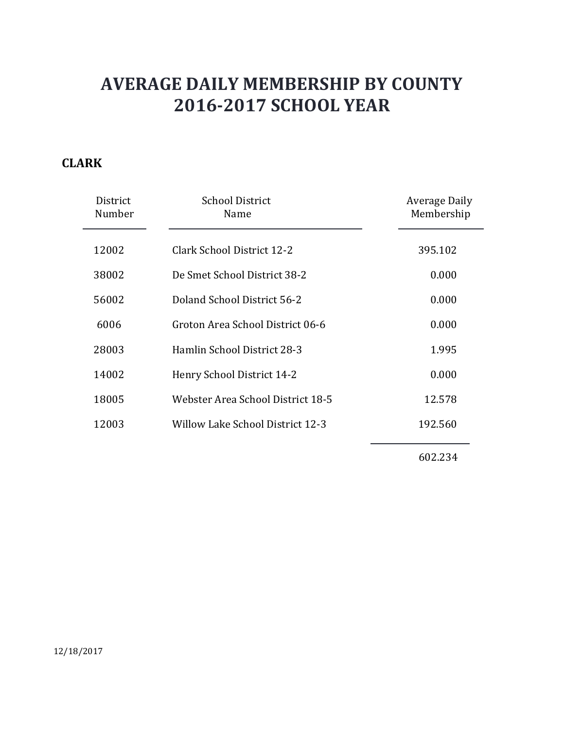### **CLARK**

| District<br>Number | <b>School District</b><br>Name    | Average Daily<br>Membership |
|--------------------|-----------------------------------|-----------------------------|
| 12002              | Clark School District 12-2        | 395.102                     |
| 38002              | De Smet School District 38-2      | 0.000                       |
| 56002              | Doland School District 56-2       | 0.000                       |
| 6006               | Groton Area School District 06-6  | 0.000                       |
| 28003              | Hamlin School District 28-3       | 1.995                       |
| 14002              | Henry School District 14-2        | 0.000                       |
| 18005              | Webster Area School District 18-5 | 12.578                      |
| 12003              | Willow Lake School District 12-3  | 192.560                     |
|                    |                                   |                             |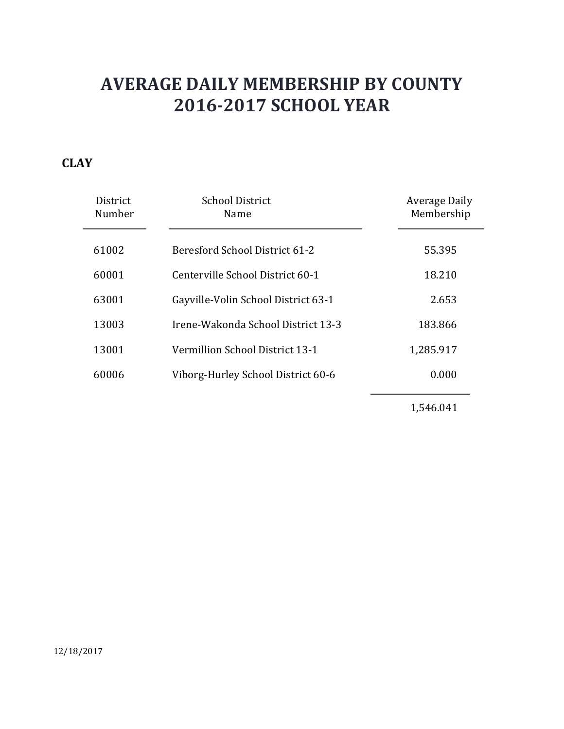### **CLAY**

| District<br>Number | <b>School District</b><br>Name      | Average Daily<br>Membership |
|--------------------|-------------------------------------|-----------------------------|
| 61002              | Beresford School District 61-2      | 55.395                      |
| 60001              | Centerville School District 60-1    | 18.210                      |
| 63001              | Gayville-Volin School District 63-1 | 2.653                       |
| 13003              | Irene-Wakonda School District 13-3  | 183.866                     |
| 13001              | Vermillion School District 13-1     | 1,285.917                   |
| 60006              | Viborg-Hurley School District 60-6  | 0.000                       |
|                    |                                     |                             |

1,546.041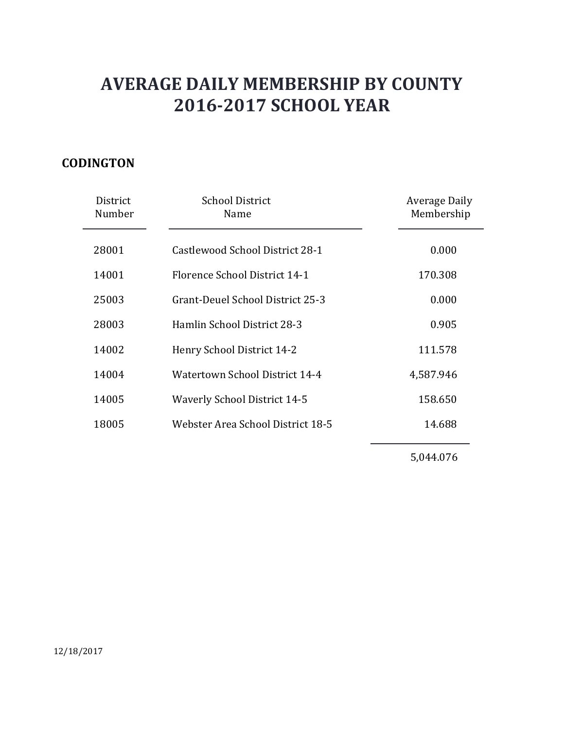### **CODINGTON**

| District<br>Number | <b>School District</b><br>Name      | Average Daily<br>Membership |
|--------------------|-------------------------------------|-----------------------------|
| 28001              | Castlewood School District 28-1     | 0.000                       |
| 14001              | Florence School District 14-1       | 170.308                     |
| 25003              | Grant-Deuel School District 25-3    | 0.000                       |
| 28003              | Hamlin School District 28-3         | 0.905                       |
| 14002              | Henry School District 14-2          | 111.578                     |
| 14004              | Watertown School District 14-4      | 4,587.946                   |
| 14005              | <b>Waverly School District 14-5</b> | 158.650                     |
| 18005              | Webster Area School District 18-5   | 14.688                      |
|                    |                                     |                             |

5,044.076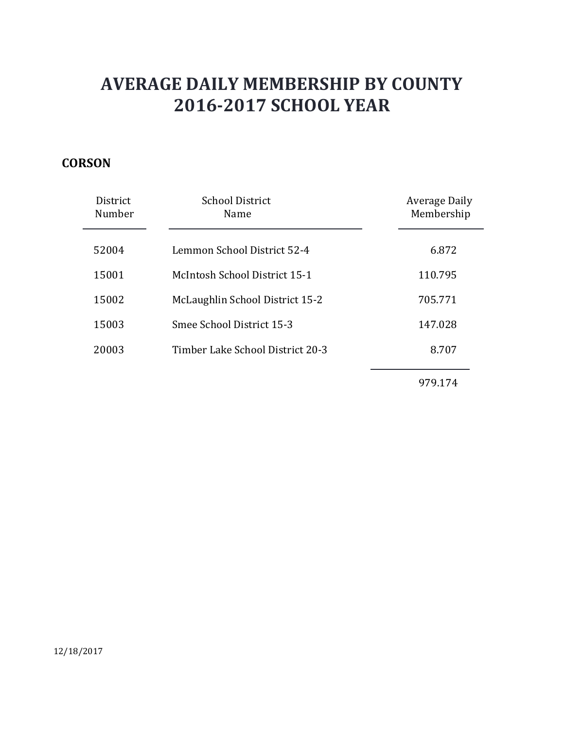### **CORSON**

| <b>District</b><br>Number | <b>School District</b><br>Name   | Average Daily<br>Membership |
|---------------------------|----------------------------------|-----------------------------|
| 52004                     | Lemmon School District 52-4      | 6.872                       |
| 15001                     | McIntosh School District 15-1    | 110.795                     |
| 15002                     | McLaughlin School District 15-2  | 705.771                     |
| 15003                     | Smee School District 15-3        | 147.028                     |
| 20003                     | Timber Lake School District 20-3 | 8.707                       |
|                           |                                  |                             |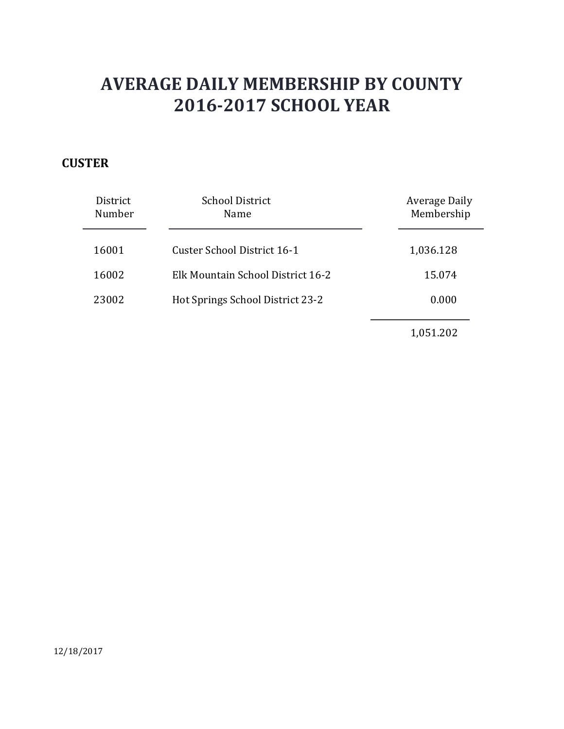### **CUSTER**

| District<br>Number | <b>School District</b><br>Name    | Average Daily<br>Membership |
|--------------------|-----------------------------------|-----------------------------|
| 16001              | Custer School District 16-1       | 1,036.128                   |
| 16002              | Elk Mountain School District 16-2 | 15.074                      |
| 23002              | Hot Springs School District 23-2  | 0.000                       |
|                    |                                   | 1,051.202                   |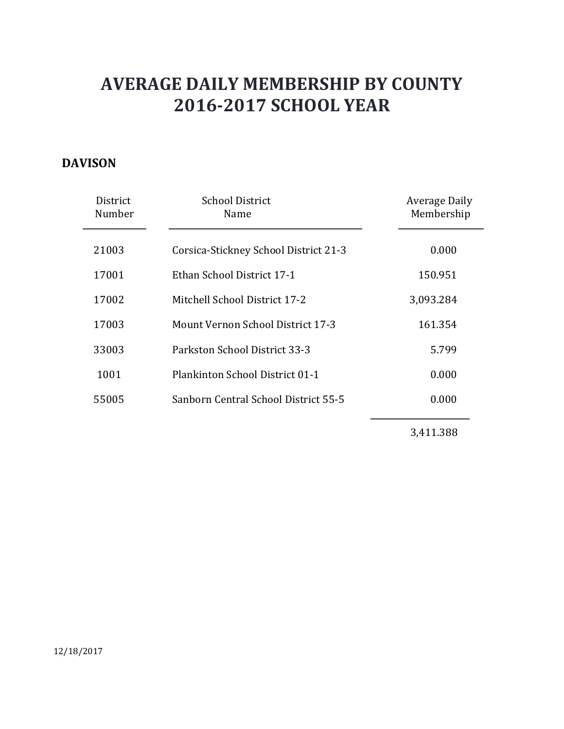### **DAVISON**

| District<br>Number | <b>School District</b><br>Name           | Average Daily<br>Membership |
|--------------------|------------------------------------------|-----------------------------|
| 21003              | Corsica-Stickney School District 21-3    | 0.000                       |
| 17001              | Ethan School District 17-1               | 150.951                     |
| 17002              | Mitchell School District 17-2            | 3,093.284                   |
| 17003              | <b>Mount Vernon School District 17-3</b> | 161.354                     |
| 33003              | Parkston School District 33-3            | 5.799                       |
| 1001               | <b>Plankinton School District 01-1</b>   | 0.000                       |
| 55005              | Sanborn Central School District 55-5     | 0.000                       |
|                    |                                          |                             |

3,411.388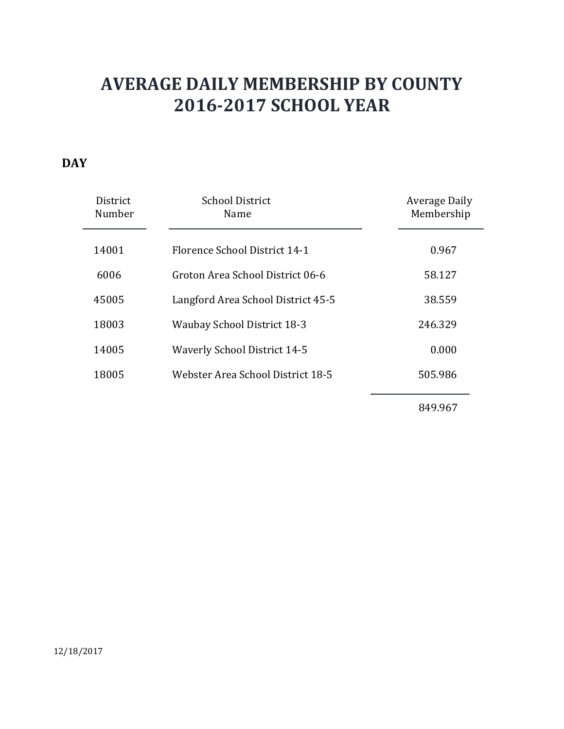### **DAY**

| District<br>Number | <b>School District</b><br>Name      | Average Daily<br>Membership |
|--------------------|-------------------------------------|-----------------------------|
| 14001              | Florence School District 14-1       | 0.967                       |
| 6006               | Groton Area School District 06-6    | 58.127                      |
| 45005              | Langford Area School District 45-5  | 38.559                      |
| 18003              | <b>Waubay School District 18-3</b>  | 246.329                     |
| 14005              | <b>Waverly School District 14-5</b> | 0.000                       |
| 18005              | Webster Area School District 18-5   | 505.986                     |
|                    |                                     |                             |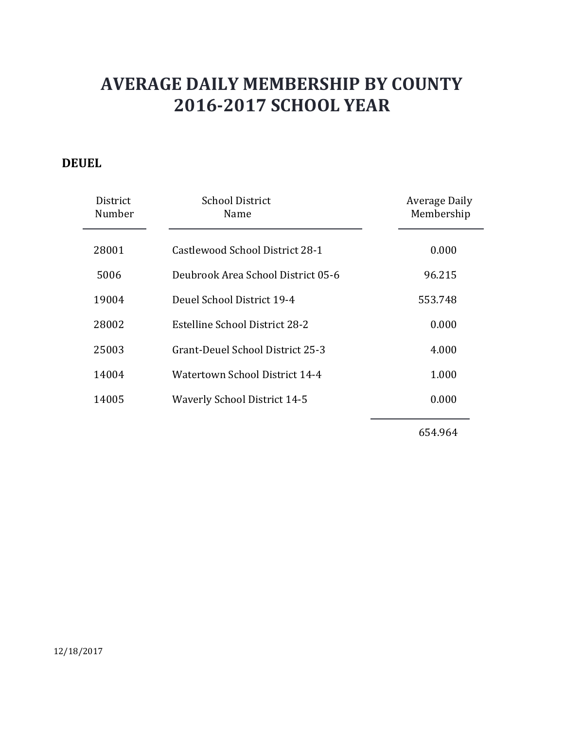### **DEUEL**

| District<br>Number | <b>School District</b><br>Name      | Average Daily<br>Membership |
|--------------------|-------------------------------------|-----------------------------|
| 28001              | Castlewood School District 28-1     | 0.000                       |
| 5006               | Deubrook Area School District 05-6  | 96.215                      |
| 19004              | Deuel School District 19-4          | 553.748                     |
| 28002              | Estelline School District 28-2      | 0.000                       |
| 25003              | Grant-Deuel School District 25-3    | 4.000                       |
| 14004              | Watertown School District 14-4      | 1.000                       |
| 14005              | <b>Waverly School District 14-5</b> | 0.000                       |
|                    |                                     |                             |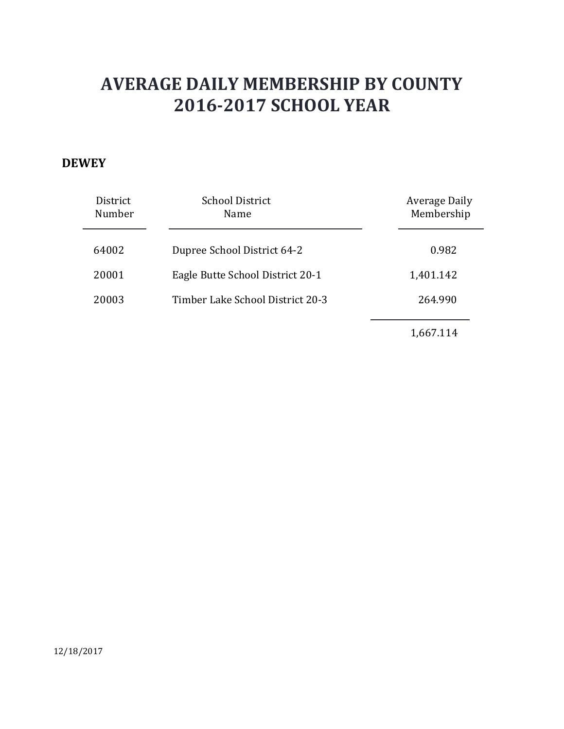#### **DEWEY**

| District<br>Number | <b>School District</b><br>Name   | Average Daily<br>Membership |
|--------------------|----------------------------------|-----------------------------|
| 64002              | Dupree School District 64-2      | 0.982                       |
| 20001              | Eagle Butte School District 20-1 | 1,401.142                   |
| 20003              | Timber Lake School District 20-3 | 264.990                     |
|                    |                                  | 1,667.114                   |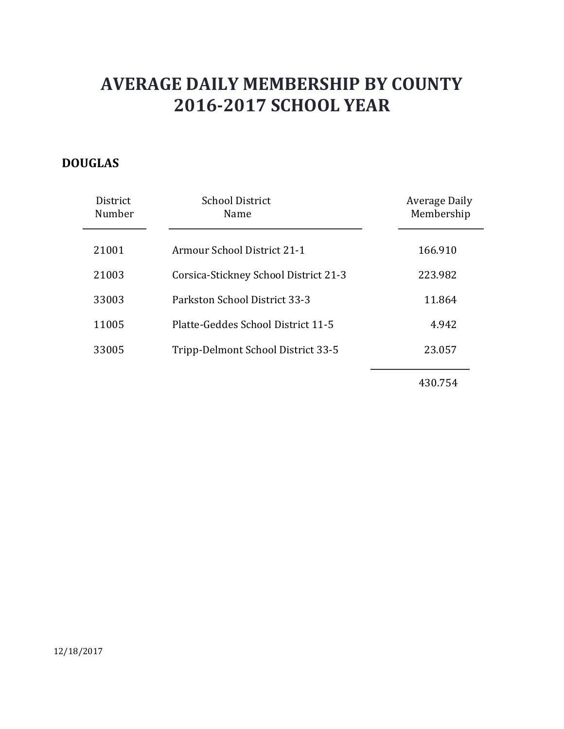### **DOUGLAS**

| District<br>Number | <b>School District</b><br>Name        | <b>Average Daily</b><br>Membership |
|--------------------|---------------------------------------|------------------------------------|
| 21001              | Armour School District 21-1           | 166.910                            |
| 21003              | Corsica-Stickney School District 21-3 | 223.982                            |
| 33003              | Parkston School District 33-3         | 11.864                             |
| 11005              | Platte-Geddes School District 11-5    | 4.942                              |
| 33005              | Tripp-Delmont School District 33-5    | 23.057                             |
|                    |                                       |                                    |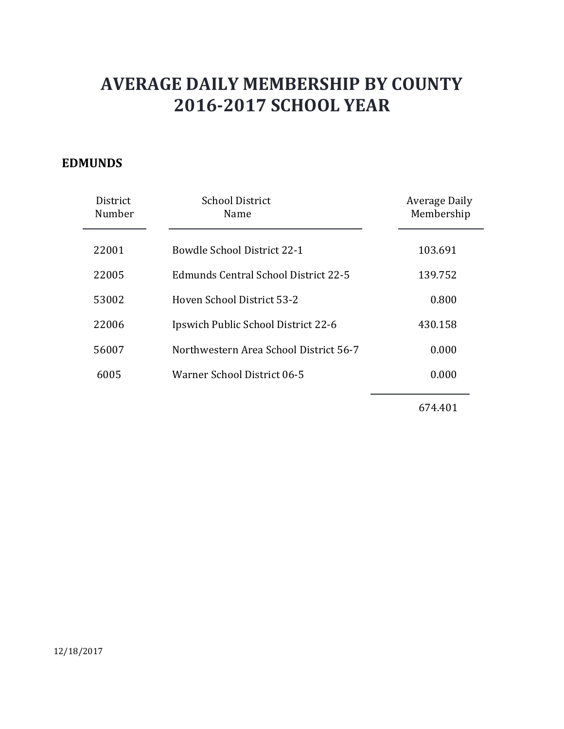### **EDMUNDS**

| District<br>Number | <b>School District</b><br>Name         | Average Daily<br>Membership |
|--------------------|----------------------------------------|-----------------------------|
| 22001              | Bowdle School District 22-1            | 103.691                     |
| 22005              | Edmunds Central School District 22-5   | 139.752                     |
| 53002              | Hoven School District 53-2             | 0.800                       |
| 22006              | Ipswich Public School District 22-6    | 430.158                     |
| 56007              | Northwestern Area School District 56-7 | 0.000                       |
| 6005               | Warner School District 06-5            | 0.000                       |
|                    |                                        |                             |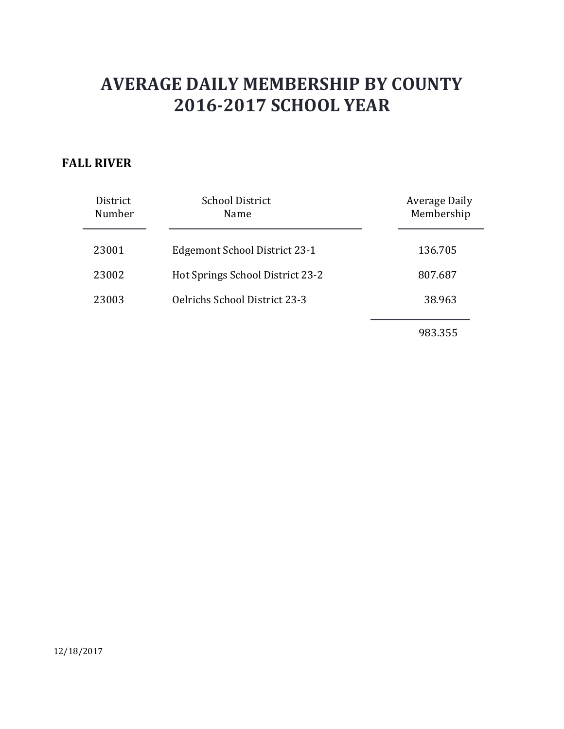### **FALL RIVER**

| District<br>Number | <b>School District</b><br>Name   | Average Daily<br>Membership |
|--------------------|----------------------------------|-----------------------------|
| 23001              | Edgemont School District 23-1    | 136.705                     |
| 23002              | Hot Springs School District 23-2 | 807.687                     |
| 23003              | Oelrichs School District 23-3    | 38.963                      |
|                    |                                  | 983.355                     |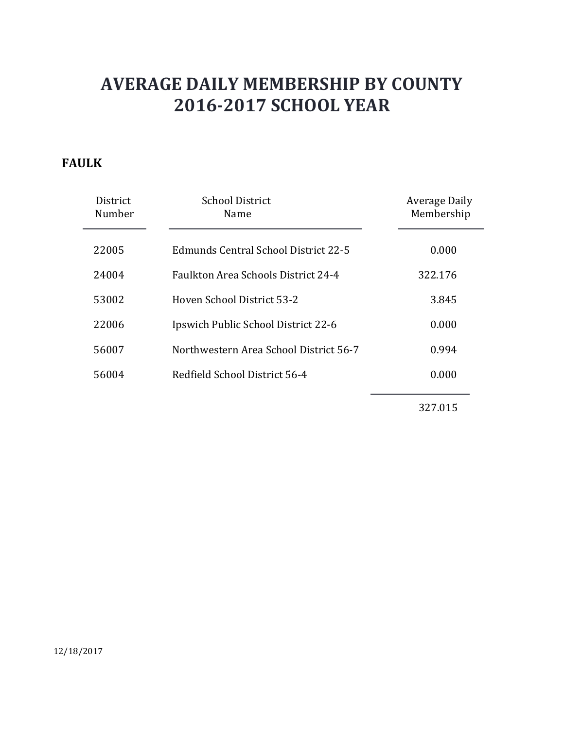### **FAULK**

| District<br>Number | <b>School District</b><br>Name             | Average Daily<br>Membership |
|--------------------|--------------------------------------------|-----------------------------|
| 22005              | Edmunds Central School District 22-5       | 0.000                       |
| 24004              | <b>Faulkton Area Schools District 24-4</b> | 322.176                     |
| 53002              | Hoven School District 53-2                 | 3.845                       |
| 22006              | Ipswich Public School District 22-6        | 0.000                       |
| 56007              | Northwestern Area School District 56-7     | 0.994                       |
| 56004              | Redfield School District 56-4              | 0.000                       |
|                    |                                            |                             |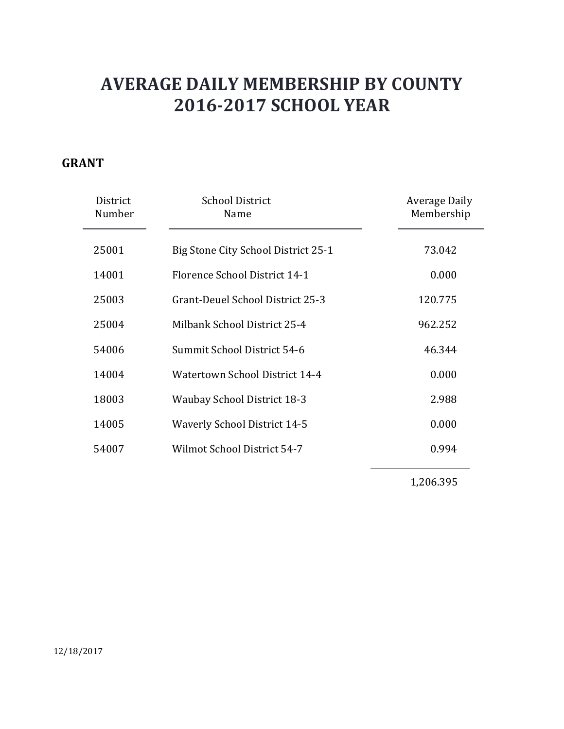### **GRANT**

| District<br>Number | <b>School District</b><br>Name      | <b>Average Daily</b><br>Membership |
|--------------------|-------------------------------------|------------------------------------|
| 25001              | Big Stone City School District 25-1 | 73.042                             |
| 14001              | Florence School District 14-1       | 0.000                              |
| 25003              | Grant-Deuel School District 25-3    | 120.775                            |
| 25004              | Milbank School District 25-4        | 962.252                            |
| 54006              | Summit School District 54-6         | 46.344                             |
| 14004              | Watertown School District 14-4      | 0.000                              |
| 18003              | <b>Waubay School District 18-3</b>  | 2.988                              |
| 14005              | <b>Waverly School District 14-5</b> | 0.000                              |
| 54007              | Wilmot School District 54-7         | 0.994                              |
|                    |                                     |                                    |

1,206.395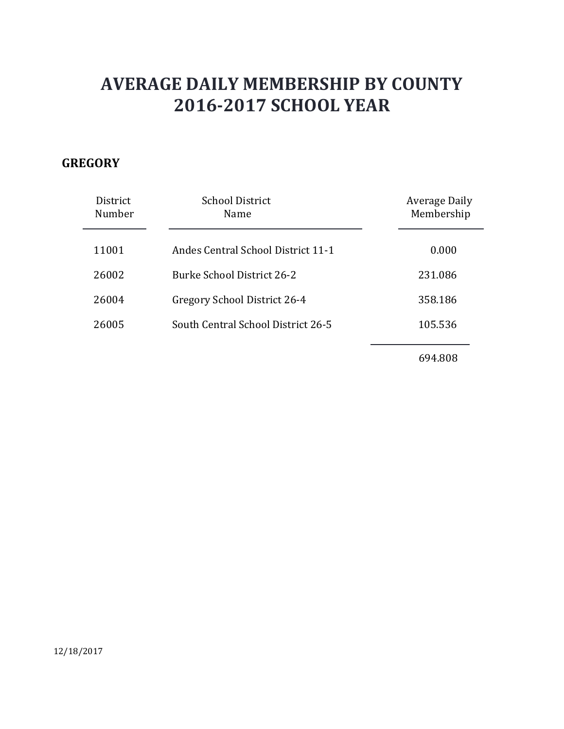### **GREGORY**

| <b>District</b><br>Number | <b>School District</b><br>Name            | Average Daily<br>Membership |
|---------------------------|-------------------------------------------|-----------------------------|
| 11001                     | <b>Andes Central School District 11-1</b> | 0.000                       |
| 26002                     | Burke School District 26-2                | 231.086                     |
| 26004                     | Gregory School District 26-4              | 358.186                     |
| 26005                     | South Central School District 26-5        | 105.536                     |
|                           |                                           | 694.808                     |

12/18/2017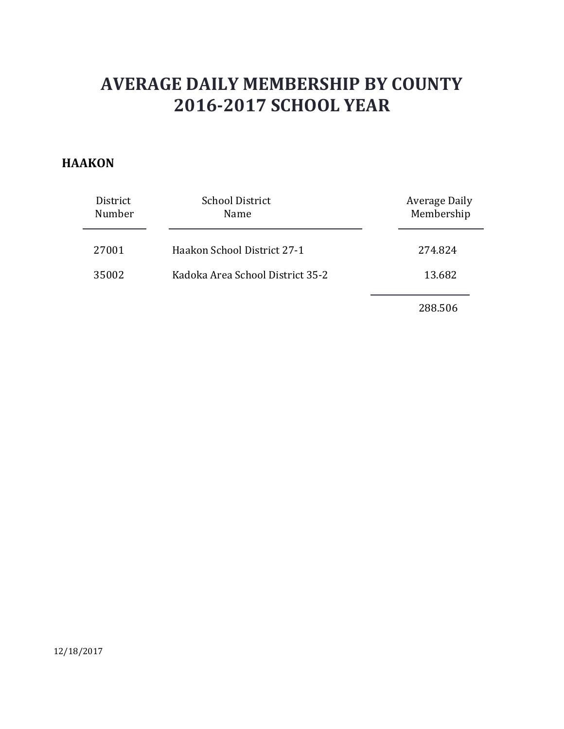#### **HAAKON**

| District<br>Number | <b>School District</b><br>Name   | Average Daily<br>Membership |
|--------------------|----------------------------------|-----------------------------|
| 27001              | Haakon School District 27-1      | 274.824                     |
| 35002              | Kadoka Area School District 35-2 | 13.682                      |
|                    |                                  | 288.506                     |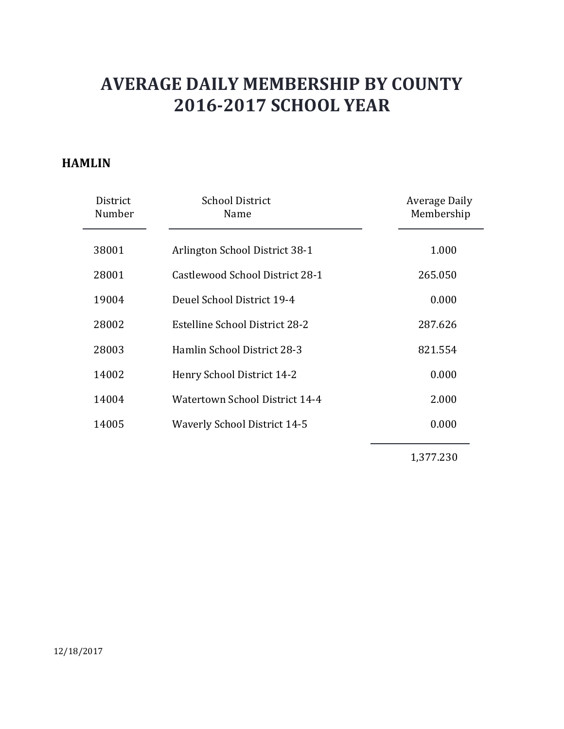#### **HAMLIN**

| District<br>Number | <b>School District</b><br>Name        | Average Daily<br>Membership |
|--------------------|---------------------------------------|-----------------------------|
| 38001              | Arlington School District 38-1        | 1.000                       |
| 28001              | Castlewood School District 28-1       | 265.050                     |
| 19004              | Deuel School District 19-4            | 0.000                       |
| 28002              | <b>Estelline School District 28-2</b> | 287.626                     |
| 28003              | Hamlin School District 28-3           | 821.554                     |
| 14002              | Henry School District 14-2            | 0.000                       |
| 14004              | Watertown School District 14-4        | 2.000                       |
| 14005              | <b>Waverly School District 14-5</b>   | 0.000                       |
|                    |                                       |                             |

1,377.230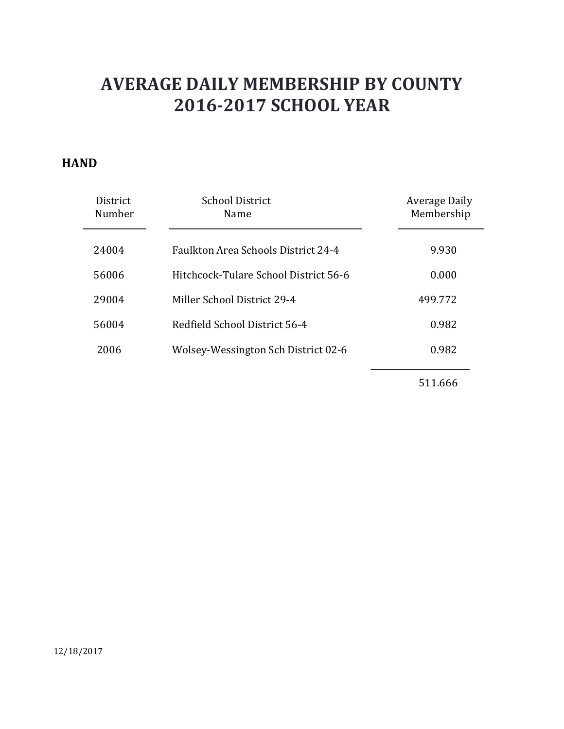#### **HAND**

| <b>District</b><br>Number | School District<br>Name                    | Average Daily<br>Membership |
|---------------------------|--------------------------------------------|-----------------------------|
| 24004                     | <b>Faulkton Area Schools District 24-4</b> | 9.930                       |
| 56006                     | Hitchcock-Tulare School District 56-6      | 0.000                       |
| 29004                     | Miller School District 29-4                | 499.772                     |
| 56004                     | Redfield School District 56-4              | 0.982                       |
| 2006                      | Wolsey-Wessington Sch District 02-6        | 0.982                       |
|                           |                                            |                             |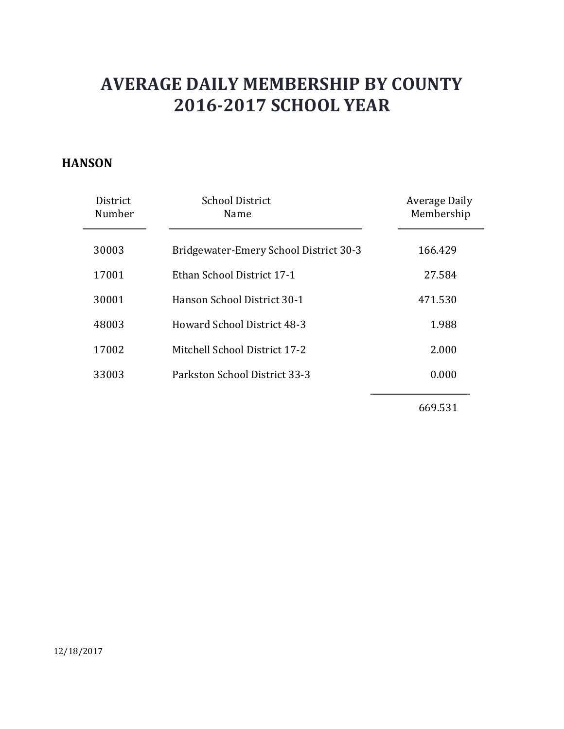#### **HANSON**

| District<br>Number | <b>School District</b><br>Name         | Average Daily<br>Membership |
|--------------------|----------------------------------------|-----------------------------|
| 30003              | Bridgewater-Emery School District 30-3 | 166.429                     |
| 17001              | Ethan School District 17-1             | 27.584                      |
| 30001              | Hanson School District 30-1            | 471.530                     |
| 48003              | Howard School District 48-3            | 1.988                       |
| 17002              | Mitchell School District 17-2          | 2.000                       |
| 33003              | Parkston School District 33-3          | 0.000                       |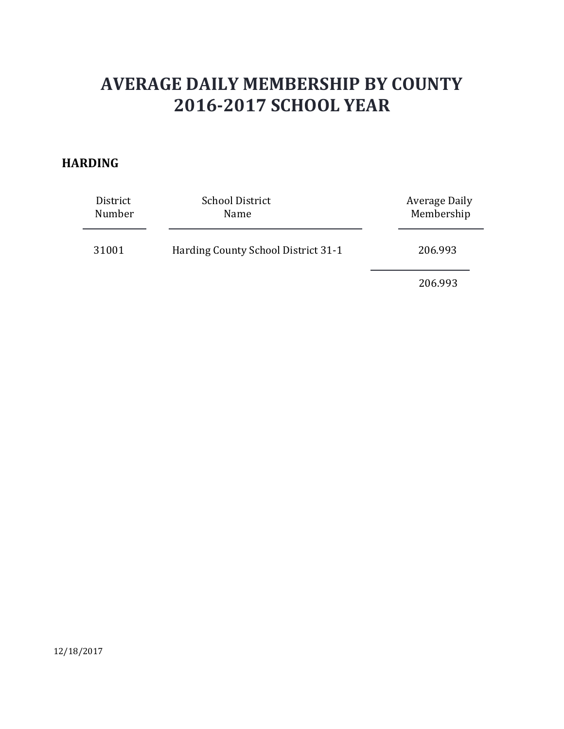### **HARDING**

| District<br>Number | <b>School District</b><br>Name      | Average Daily<br>Membership |
|--------------------|-------------------------------------|-----------------------------|
| 31001              | Harding County School District 31-1 | 206.993                     |
|                    |                                     | 206.993                     |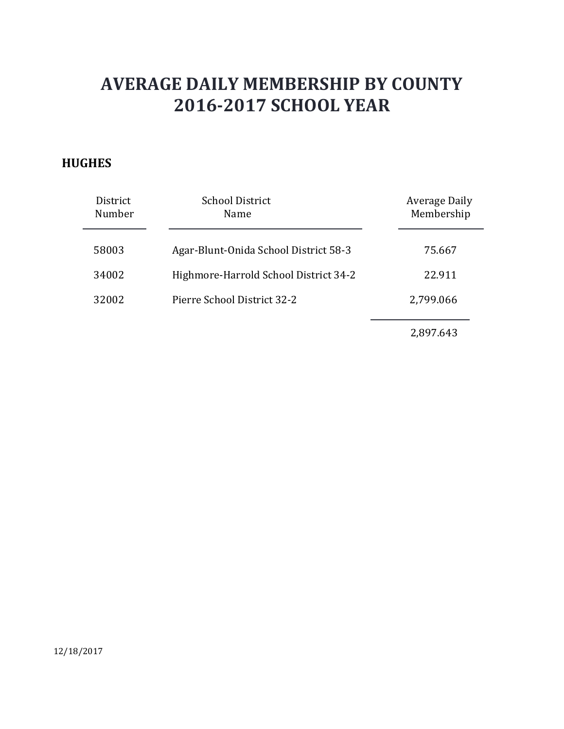### **HUGHES**

| District<br>Number | <b>School District</b><br>Name        | <b>Average Daily</b><br>Membership |
|--------------------|---------------------------------------|------------------------------------|
| 58003              | Agar-Blunt-Onida School District 58-3 | 75.667                             |
| 34002              | Highmore-Harrold School District 34-2 | 22.911                             |
| 32002              | Pierre School District 32-2           | 2,799.066                          |
|                    |                                       | 2,897.643                          |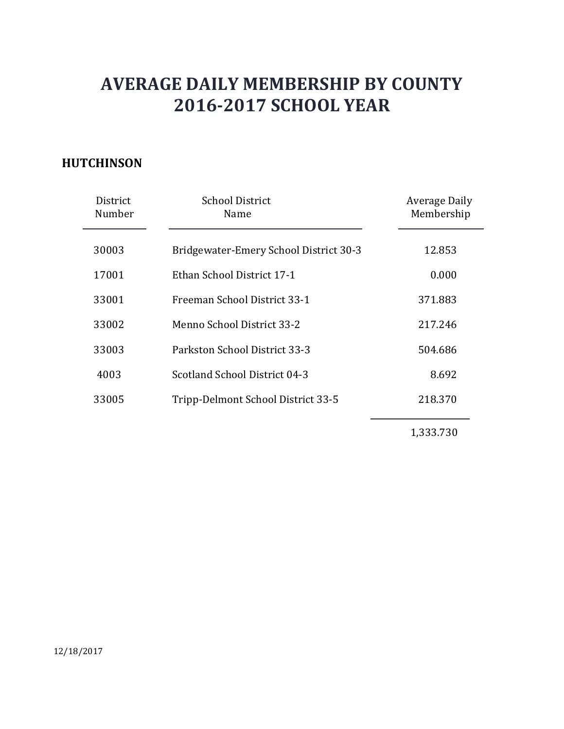### **HUTCHINSON**

| District<br>Number | <b>School District</b><br>Name         | <b>Average Daily</b><br>Membership |
|--------------------|----------------------------------------|------------------------------------|
| 30003              | Bridgewater-Emery School District 30-3 | 12.853                             |
| 17001              | Ethan School District 17-1             | 0.000                              |
| 33001              | Freeman School District 33-1           | 371.883                            |
| 33002              | Menno School District 33-2             | 217.246                            |
| 33003              | Parkston School District 33-3          | 504.686                            |
| 4003               | Scotland School District 04-3          | 8.692                              |
| 33005              | Tripp-Delmont School District 33-5     | 218.370                            |
|                    |                                        | 1,333.730                          |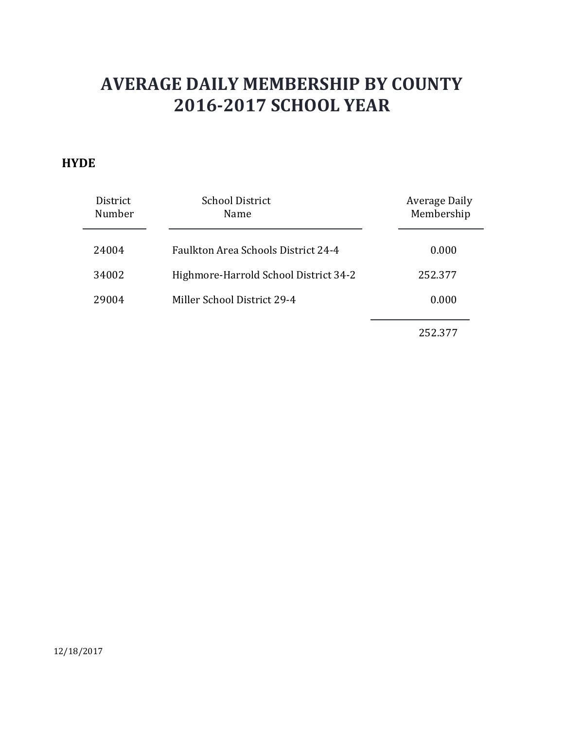#### **HYDE**

| District<br>Number | <b>School District</b><br>Name             | Average Daily<br>Membership |
|--------------------|--------------------------------------------|-----------------------------|
| 24004              | <b>Faulkton Area Schools District 24-4</b> | 0.000                       |
| 34002              | Highmore-Harrold School District 34-2      | 252.377                     |
| 29004              | Miller School District 29-4                | 0.000                       |
|                    |                                            | 252.377                     |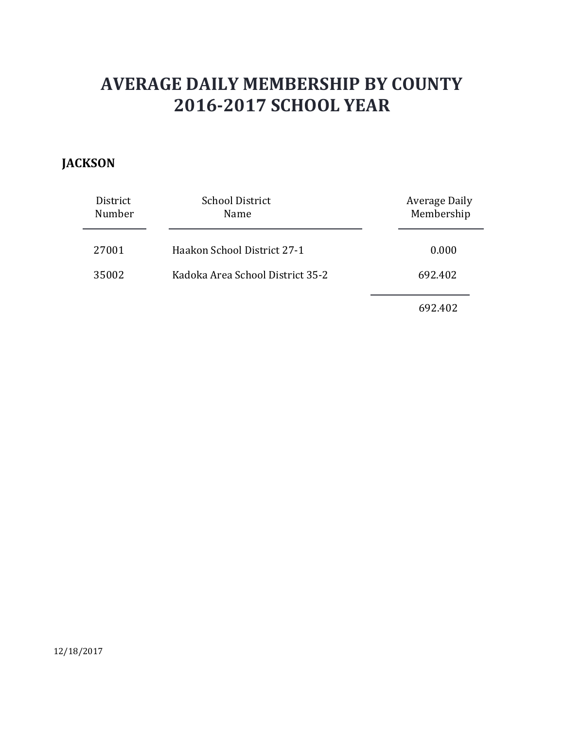### **JACKSON**

| District<br>Number | <b>School District</b><br>Name   | <b>Average Daily</b><br>Membership |
|--------------------|----------------------------------|------------------------------------|
| 27001              | Haakon School District 27-1      | 0.000                              |
| 35002              | Kadoka Area School District 35-2 | 692.402                            |
|                    |                                  | 692.402                            |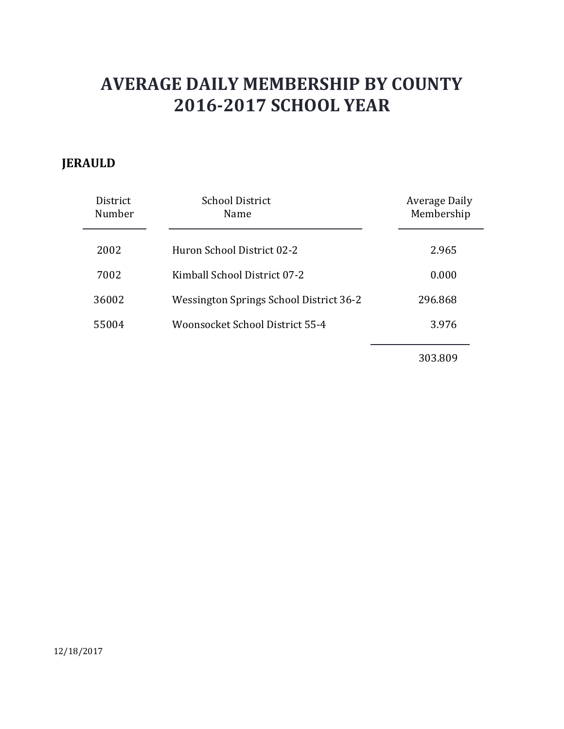### **JERAULD**

| District<br>Number | <b>School District</b><br>Name          | <b>Average Daily</b><br>Membership |
|--------------------|-----------------------------------------|------------------------------------|
| 2002               | Huron School District 02-2              | 2.965                              |
| 7002               | Kimball School District 07-2            | 0.000                              |
| 36002              | Wessington Springs School District 36-2 | 296.868                            |
| 55004              | Woonsocket School District 55-4         | 3.976                              |
|                    |                                         | 303.809                            |

12/18/2017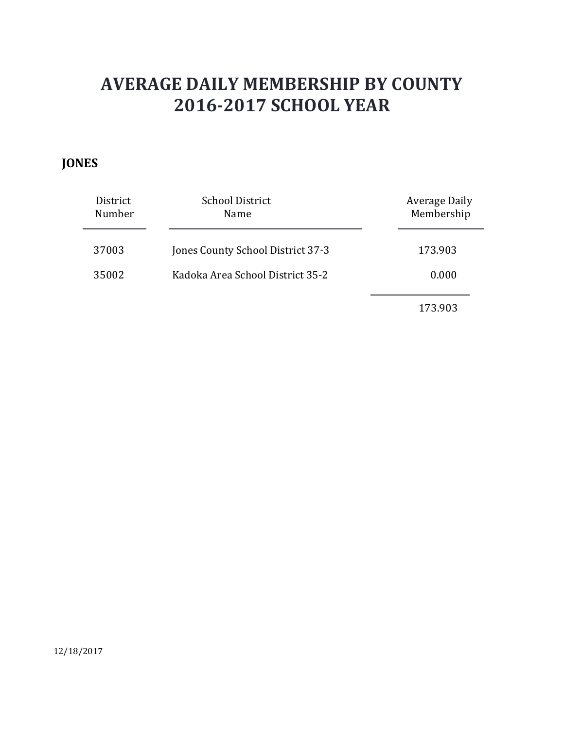### **JONES**

| District<br>Number | <b>School District</b><br>Name    | Average Daily<br>Membership |
|--------------------|-----------------------------------|-----------------------------|
| 37003              | Jones County School District 37-3 | 173.903                     |
| 35002              | Kadoka Area School District 35-2  | 0.000                       |
|                    |                                   | 173.903                     |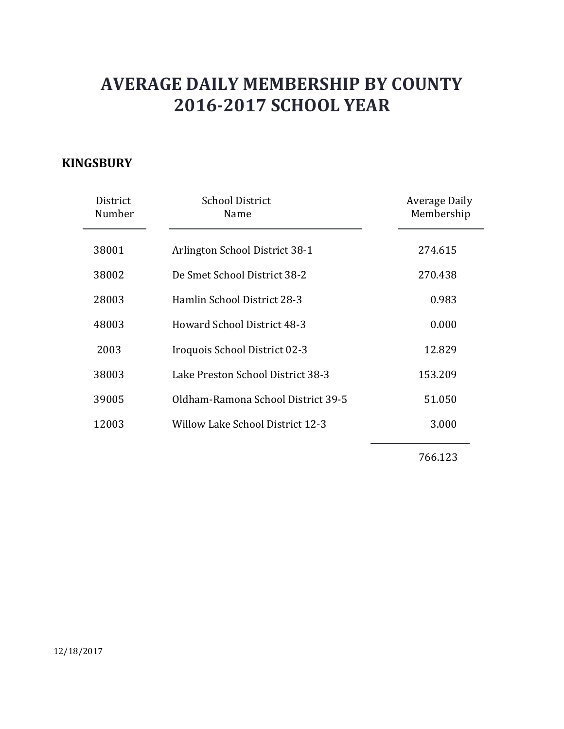### **KINGSBURY**

| District<br>Number | <b>School District</b><br>Name     | Average Daily<br>Membership |
|--------------------|------------------------------------|-----------------------------|
| 38001              | Arlington School District 38-1     | 274.615                     |
| 38002              | De Smet School District 38-2       | 270.438                     |
| 28003              | Hamlin School District 28-3        | 0.983                       |
| 48003              | <b>Howard School District 48-3</b> | 0.000                       |
| 2003               | Iroquois School District 02-3      | 12.829                      |
| 38003              | Lake Preston School District 38-3  | 153.209                     |
| 39005              | Oldham-Ramona School District 39-5 | 51.050                      |
| 12003              | Willow Lake School District 12-3   | 3.000                       |
|                    |                                    |                             |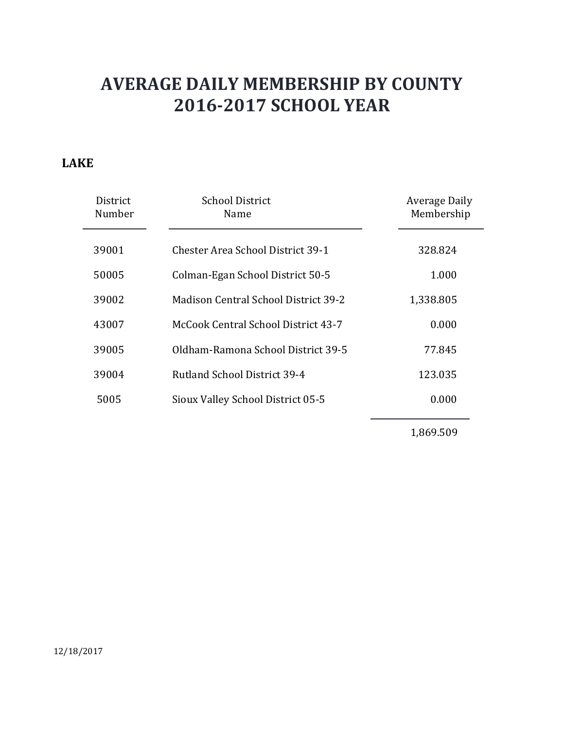### **LAKE**

| District<br>Number | <b>School District</b><br>Name              | Average Daily<br>Membership |
|--------------------|---------------------------------------------|-----------------------------|
| 39001              | <b>Chester Area School District 39-1</b>    | 328.824                     |
| 50005              | Colman-Egan School District 50-5            | 1.000                       |
| 39002              | <b>Madison Central School District 39-2</b> | 1,338.805                   |
| 43007              | McCook Central School District 43-7         | 0.000                       |
| 39005              | Oldham-Ramona School District 39-5          | 77.845                      |
| 39004              | <b>Rutland School District 39-4</b>         | 123.035                     |
| 5005               | Sioux Valley School District 05-5           | 0.000                       |
|                    |                                             | 1,869.509                   |

12/18/2017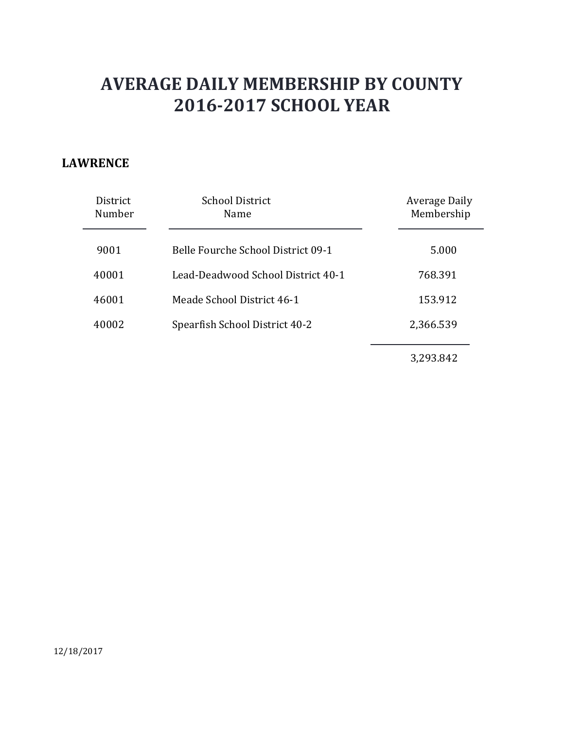### **LAWRENCE**

| <b>District</b><br>Number | <b>School District</b><br>Name     | Average Daily<br>Membership |
|---------------------------|------------------------------------|-----------------------------|
| 9001                      | Belle Fourche School District 09-1 | 5.000                       |
| 40001                     | Lead-Deadwood School District 40-1 | 768.391                     |
| 46001                     | Meade School District 46-1         | 153.912                     |
| 40002                     | Spearfish School District 40-2     | 2,366.539                   |
|                           |                                    | 3,293.842                   |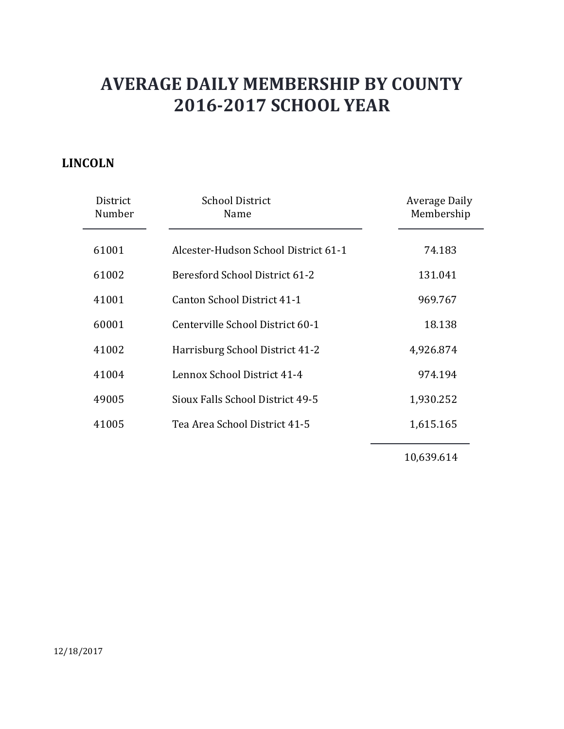### **LINCOLN**

| District<br>Number | <b>School District</b><br>Name       | Average Daily<br>Membership |
|--------------------|--------------------------------------|-----------------------------|
| 61001              | Alcester-Hudson School District 61-1 | 74.183                      |
| 61002              | Beresford School District 61-2       | 131.041                     |
| 41001              | Canton School District 41-1          | 969.767                     |
| 60001              | Centerville School District 60-1     | 18.138                      |
| 41002              | Harrisburg School District 41-2      | 4,926.874                   |
| 41004              | Lennox School District 41-4          | 974.194                     |
| 49005              | Sioux Falls School District 49-5     | 1,930.252                   |
| 41005              | Tea Area School District 41-5        | 1,615.165                   |
|                    |                                      |                             |

10,639.614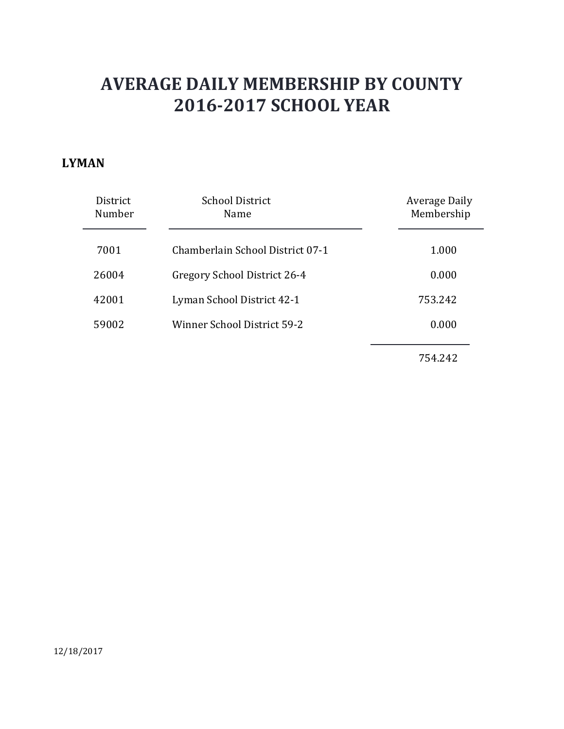#### **LYMAN**

| <b>District</b><br>Number | <b>School District</b><br>Name   | Average Daily<br>Membership |
|---------------------------|----------------------------------|-----------------------------|
| 7001                      | Chamberlain School District 07-1 | 1.000                       |
| 26004                     | Gregory School District 26-4     | 0.000                       |
| 42001                     | Lyman School District 42-1       | 753.242                     |
| 59002                     | Winner School District 59-2      | 0.000                       |
|                           |                                  | 754.242                     |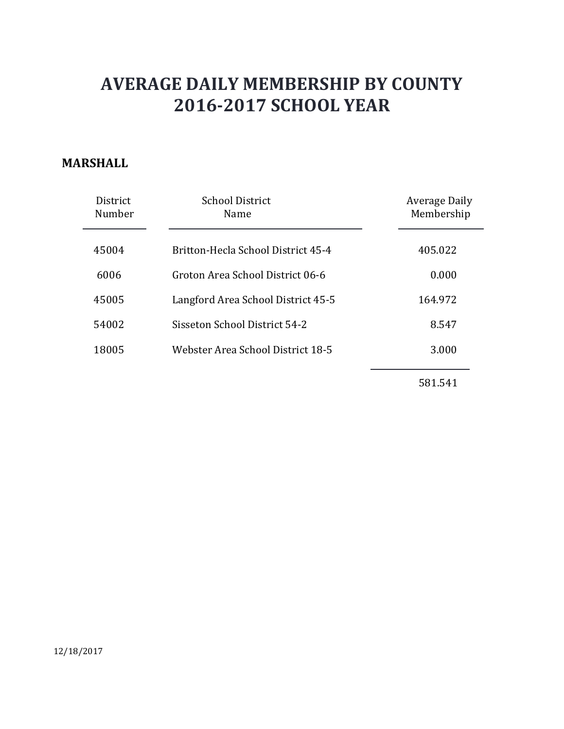### **MARSHALL**

| <b>District</b><br>Number | <b>School District</b><br>Name     | <b>Average Daily</b><br>Membership |
|---------------------------|------------------------------------|------------------------------------|
| 45004                     | Britton-Hecla School District 45-4 | 405.022                            |
| 6006                      | Groton Area School District 06-6   | 0.000                              |
| 45005                     | Langford Area School District 45-5 | 164.972                            |
| 54002                     | Sisseton School District 54-2      | 8.547                              |
| 18005                     | Webster Area School District 18-5  | 3.000                              |
|                           |                                    |                                    |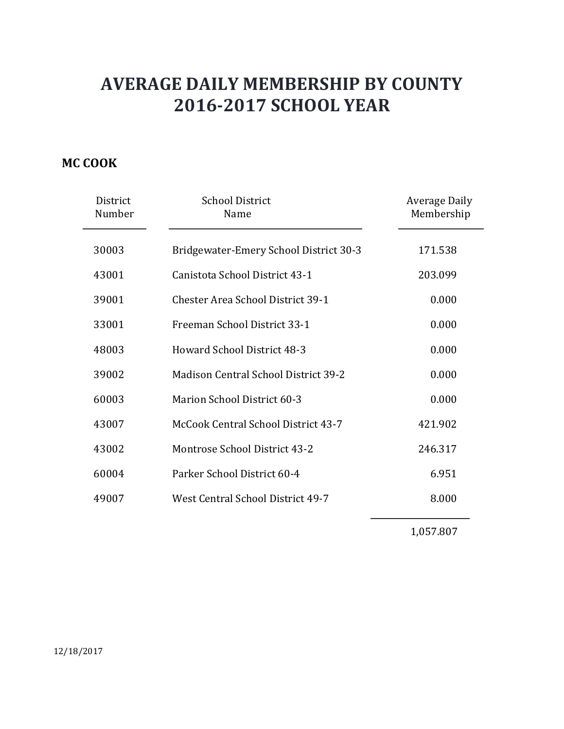### **MC COOK**

| District<br>Number | <b>School District</b><br>Name              | <b>Average Daily</b><br>Membership |
|--------------------|---------------------------------------------|------------------------------------|
| 30003              | Bridgewater-Emery School District 30-3      | 171.538                            |
| 43001              | Canistota School District 43-1              | 203.099                            |
| 39001              | <b>Chester Area School District 39-1</b>    | 0.000                              |
| 33001              | Freeman School District 33-1                | 0.000                              |
| 48003              | <b>Howard School District 48-3</b>          | 0.000                              |
| 39002              | <b>Madison Central School District 39-2</b> | 0.000                              |
| 60003              | Marion School District 60-3                 | 0.000                              |
| 43007              | McCook Central School District 43-7         | 421.902                            |
| 43002              | Montrose School District 43-2               | 246.317                            |
| 60004              | Parker School District 60-4                 | 6.951                              |
| 49007              | West Central School District 49-7           | 8.000                              |

1,057.807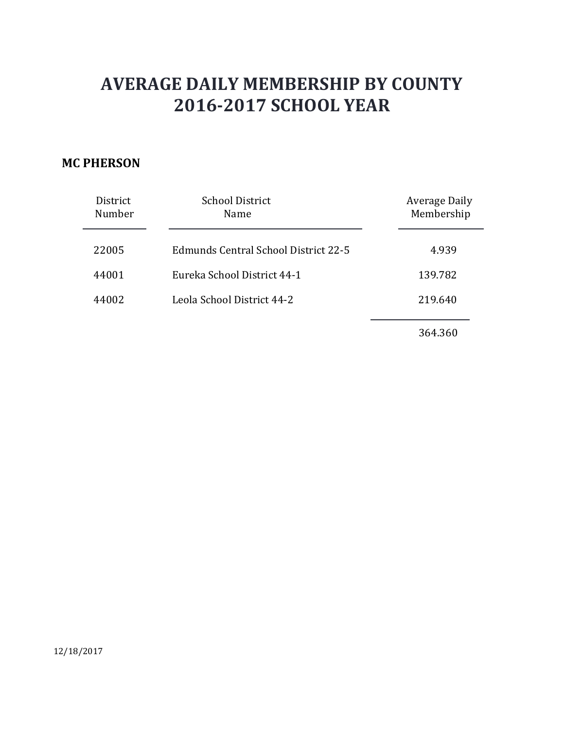### **MC PHERSON**

| District<br>Number | <b>School District</b><br>Name       | Average Daily<br>Membership |
|--------------------|--------------------------------------|-----------------------------|
| 22005              | Edmunds Central School District 22-5 | 4.939                       |
| 44001              | Eureka School District 44-1          | 139.782                     |
| 44002              | Leola School District 44-2           | 219.640                     |
|                    |                                      | 364.360                     |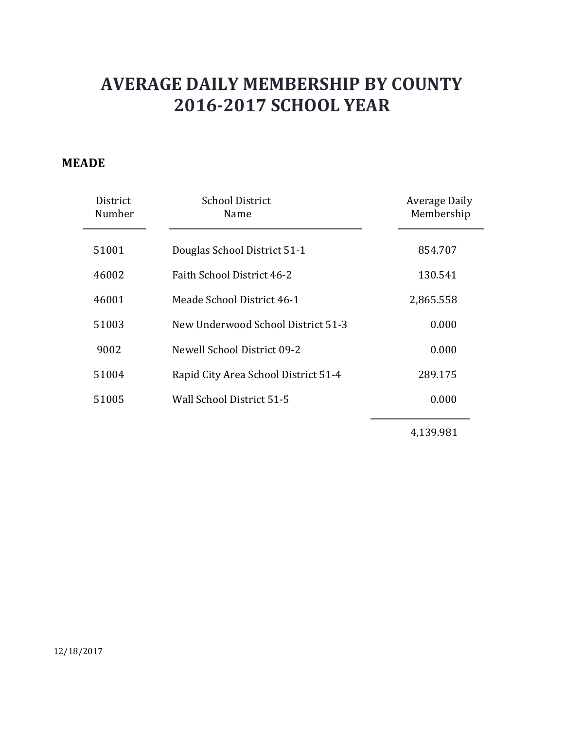#### **MEADE**

| District<br>Number | <b>School District</b><br>Name       | <b>Average Daily</b><br>Membership |
|--------------------|--------------------------------------|------------------------------------|
| 51001              | Douglas School District 51-1         | 854.707                            |
| 46002              | Faith School District 46-2           | 130.541                            |
| 46001              | Meade School District 46-1           | 2,865.558                          |
| 51003              | New Underwood School District 51-3   | 0.000                              |
| 9002               | Newell School District 09-2          | 0.000                              |
| 51004              | Rapid City Area School District 51-4 | 289.175                            |
| 51005              | Wall School District 51-5            | 0.000                              |
|                    |                                      | 4,139.981                          |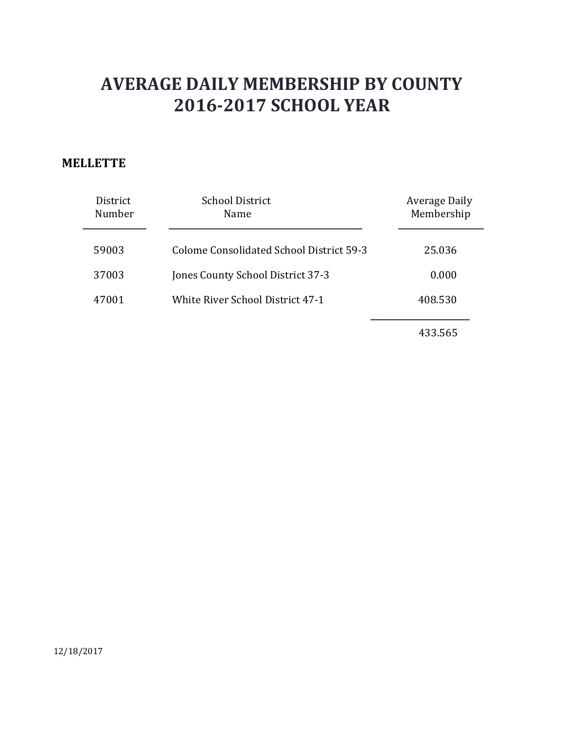#### **MELLETTE**

| District<br>Number | <b>School District</b><br>Name           | Average Daily<br>Membership |
|--------------------|------------------------------------------|-----------------------------|
| 59003              | Colome Consolidated School District 59-3 | 25.036                      |
| 37003              | Jones County School District 37-3        | 0.000                       |
| 47001              | White River School District 47-1         | 408.530                     |
|                    |                                          |                             |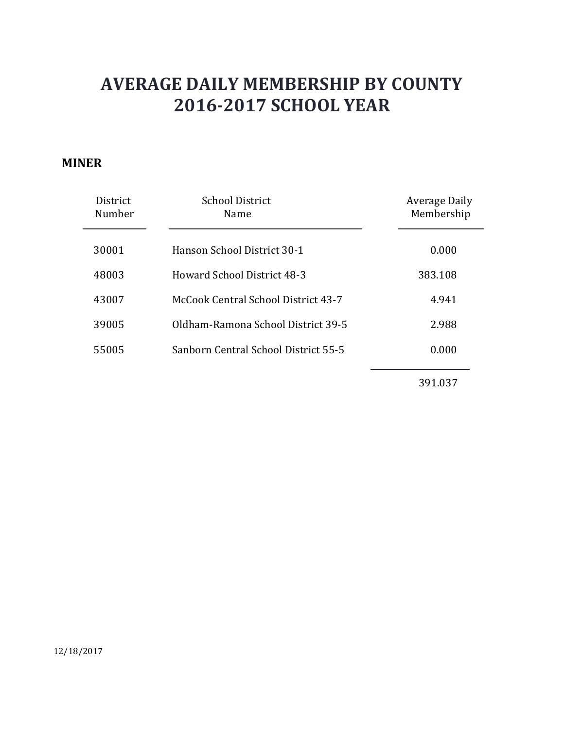#### **MINER**

| <b>District</b><br>Number | <b>School District</b><br>Name       | Average Daily<br>Membership |
|---------------------------|--------------------------------------|-----------------------------|
| 30001                     | Hanson School District 30-1          | 0.000                       |
| 48003                     | Howard School District 48-3          | 383.108                     |
| 43007                     | McCook Central School District 43-7  | 4.941                       |
| 39005                     | Oldham-Ramona School District 39-5   | 2.988                       |
| 55005                     | Sanborn Central School District 55-5 | 0.000                       |
|                           |                                      |                             |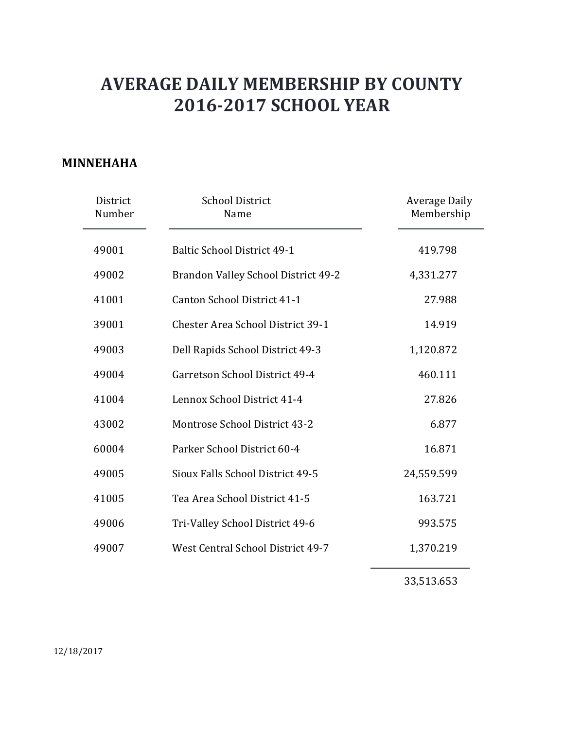### **MINNEHAHA**

| District<br>Number | <b>School District</b><br>Name           | <b>Average Daily</b><br>Membership |
|--------------------|------------------------------------------|------------------------------------|
| 49001              | <b>Baltic School District 49-1</b>       | 419.798                            |
| 49002              | Brandon Valley School District 49-2      | 4,331.277                          |
| 41001              | Canton School District 41-1              | 27.988                             |
| 39001              | <b>Chester Area School District 39-1</b> | 14.919                             |
| 49003              | Dell Rapids School District 49-3         | 1,120.872                          |
| 49004              | Garretson School District 49-4           | 460.111                            |
| 41004              | Lennox School District 41-4              | 27.826                             |
| 43002              | Montrose School District 43-2            | 6.877                              |
| 60004              | Parker School District 60-4              | 16.871                             |
| 49005              | Sioux Falls School District 49-5         | 24,559.599                         |
| 41005              | Tea Area School District 41-5            | 163.721                            |
| 49006              | Tri-Valley School District 49-6          | 993.575                            |
| 49007              | West Central School District 49-7        | 1,370.219                          |
|                    |                                          |                                    |

33,513.653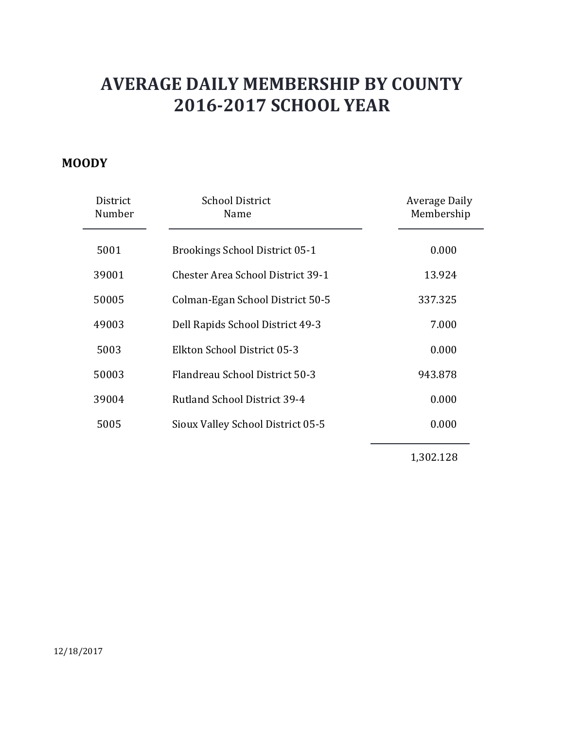### **MOODY**

| District<br>Number | <b>School District</b><br>Name           | Average Daily<br>Membership |
|--------------------|------------------------------------------|-----------------------------|
| 5001               | <b>Brookings School District 05-1</b>    | 0.000                       |
| 39001              | <b>Chester Area School District 39-1</b> | 13.924                      |
| 50005              | Colman-Egan School District 50-5         | 337.325                     |
| 49003              | Dell Rapids School District 49-3         | 7.000                       |
| 5003               | Elkton School District 05-3              | 0.000                       |
| 50003              | Flandreau School District 50-3           | 943.878                     |
| 39004              | <b>Rutland School District 39-4</b>      | 0.000                       |
| 5005               | Sioux Valley School District 05-5        | 0.000                       |
|                    |                                          |                             |

1,302.128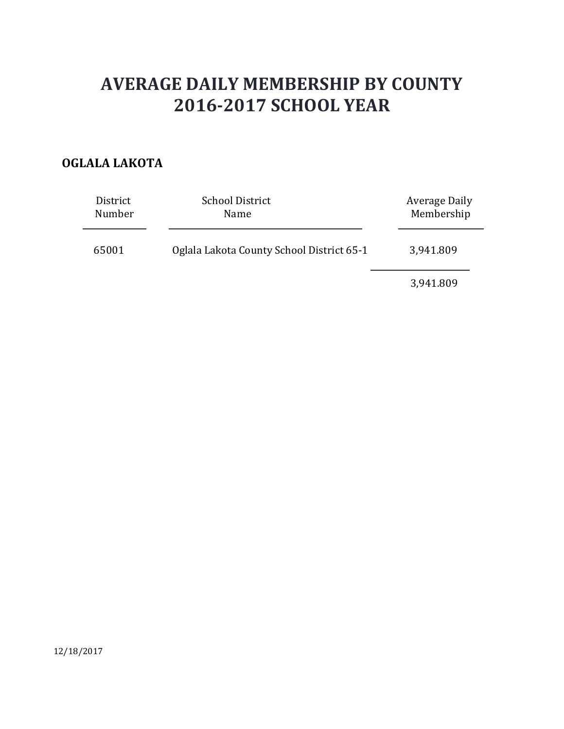### **OGLALA LAKOTA**

| District<br>Number | <b>School District</b><br>Name            | Average Daily<br>Membership |
|--------------------|-------------------------------------------|-----------------------------|
| 65001              | Oglala Lakota County School District 65-1 | 3,941.809                   |
|                    |                                           | 3,941.809                   |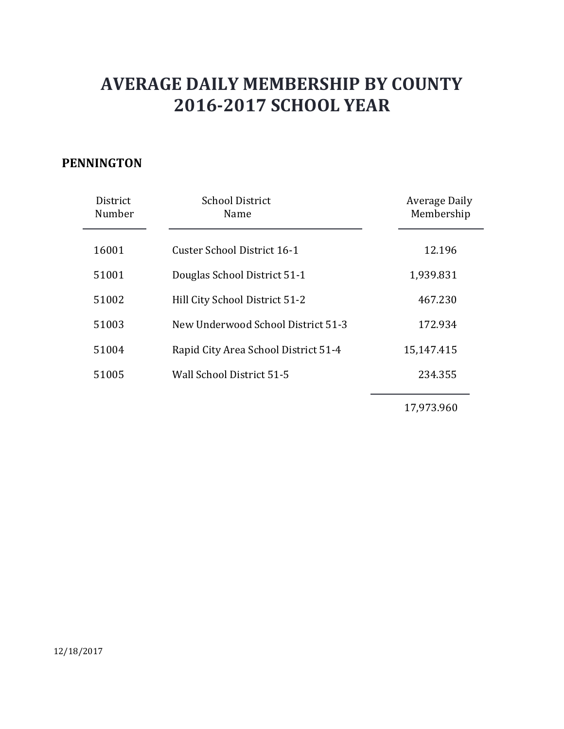### **PENNINGTON**

| District<br>Number | <b>School District</b><br>Name       | Average Daily<br>Membership |
|--------------------|--------------------------------------|-----------------------------|
| 16001              | Custer School District 16-1          | 12.196                      |
| 51001              | Douglas School District 51-1         | 1,939.831                   |
| 51002              | Hill City School District 51-2       | 467.230                     |
| 51003              | New Underwood School District 51-3   | 172.934                     |
| 51004              | Rapid City Area School District 51-4 | 15,147.415                  |
| 51005              | Wall School District 51-5            | 234.355                     |
|                    |                                      |                             |

17,973.960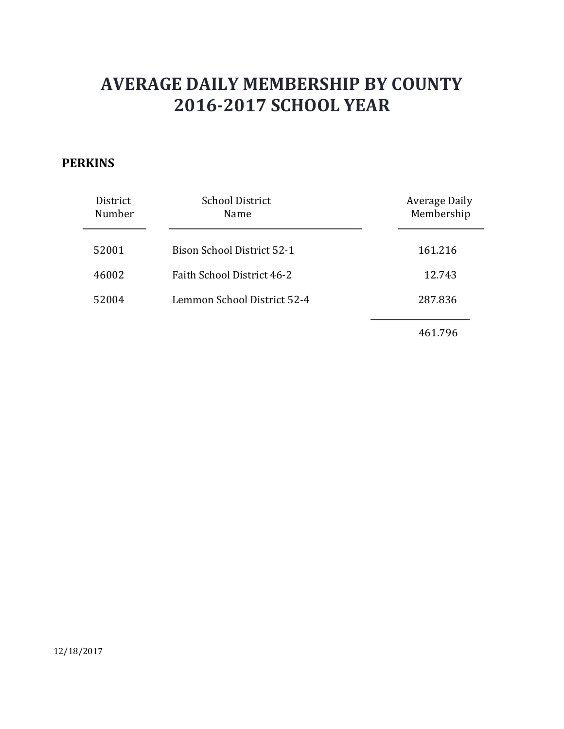### **PERKINS**

| District<br>Number | <b>School District</b><br>Name    | Average Daily<br>Membership |
|--------------------|-----------------------------------|-----------------------------|
| 52001              | <b>Bison School District 52-1</b> | 161.216                     |
| 46002              | Faith School District 46-2        | 12.743                      |
| 52004              | Lemmon School District 52-4       | 287.836                     |
|                    |                                   | 461.796                     |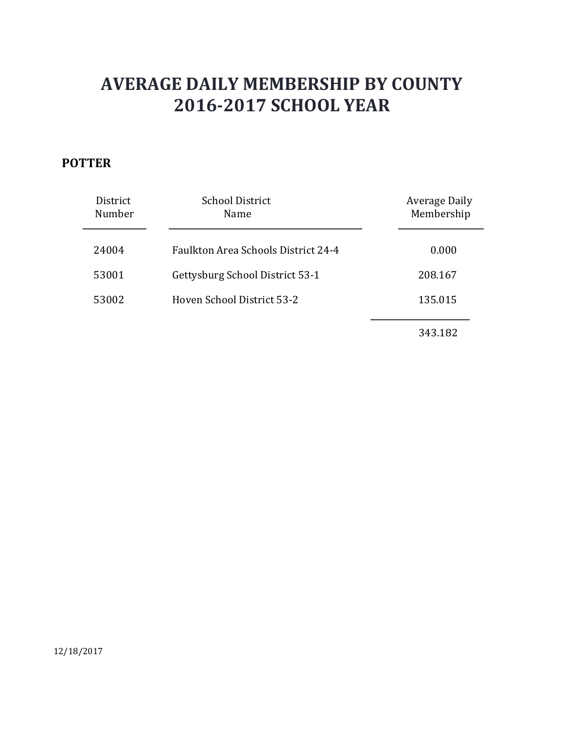### **POTTER**

| District<br>Number | <b>School District</b><br>Name             | Average Daily<br>Membership |
|--------------------|--------------------------------------------|-----------------------------|
| 24004              | <b>Faulkton Area Schools District 24-4</b> | 0.000                       |
| 53001              | Gettysburg School District 53-1            | 208.167                     |
| 53002              | Hoven School District 53-2                 | 135.015                     |
|                    |                                            | 343.182                     |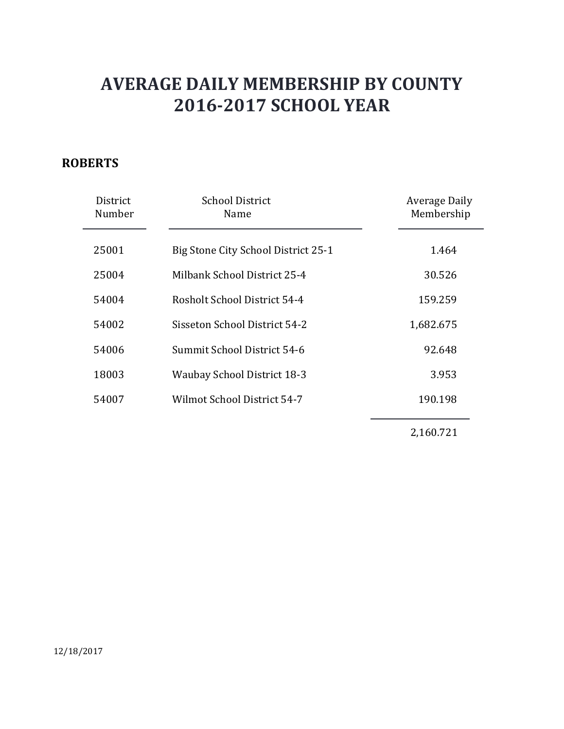### **ROBERTS**

| District<br>Number | <b>School District</b><br>Name      | Average Daily<br>Membership |
|--------------------|-------------------------------------|-----------------------------|
| 25001              | Big Stone City School District 25-1 | 1.464                       |
| 25004              | Milbank School District 25-4        | 30.526                      |
| 54004              | Rosholt School District 54-4        | 159.259                     |
| 54002              | Sisseton School District 54-2       | 1,682.675                   |
| 54006              | Summit School District 54-6         | 92.648                      |
| 18003              | <b>Waubay School District 18-3</b>  | 3.953                       |
| 54007              | Wilmot School District 54-7         | 190.198                     |
|                    |                                     | 2,160.721                   |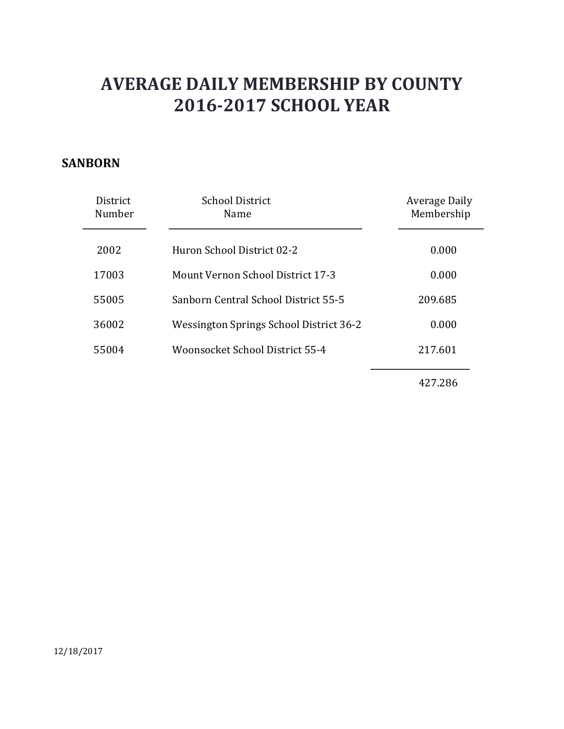#### **SANBORN**

| District<br>Number | <b>School District</b><br>Name           | Average Daily<br>Membership |
|--------------------|------------------------------------------|-----------------------------|
| 2002               | Huron School District 02-2               | 0.000                       |
| 17003              | <b>Mount Vernon School District 17-3</b> | 0.000                       |
| 55005              | Sanborn Central School District 55-5     | 209.685                     |
| 36002              | Wessington Springs School District 36-2  | 0.000                       |
| 55004              | Woonsocket School District 55-4          | 217.601                     |
|                    |                                          |                             |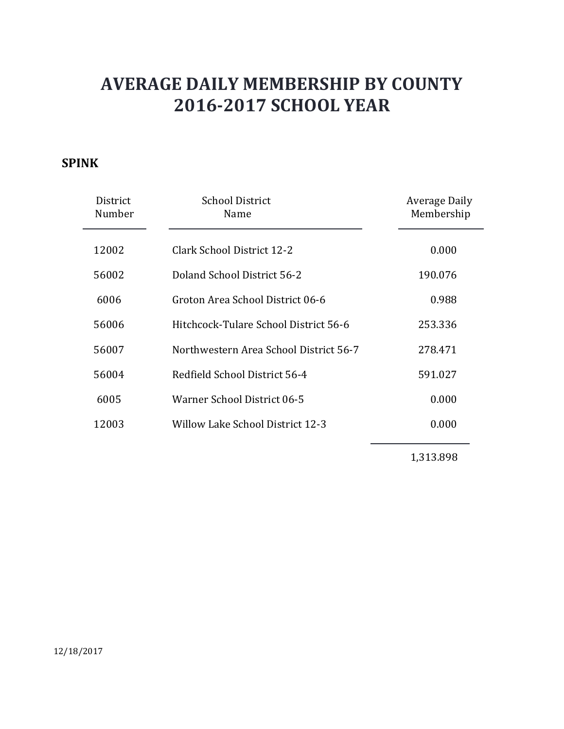### **SPINK**

| District<br>Number | <b>School District</b><br>Name         | Average Daily<br>Membership |
|--------------------|----------------------------------------|-----------------------------|
| 12002              | Clark School District 12-2             | 0.000                       |
| 56002              | Doland School District 56-2            | 190.076                     |
| 6006               | Groton Area School District 06-6       | 0.988                       |
| 56006              | Hitchcock-Tulare School District 56-6  | 253.336                     |
| 56007              | Northwestern Area School District 56-7 | 278.471                     |
| 56004              | Redfield School District 56-4          | 591.027                     |
| 6005               | Warner School District 06-5            | 0.000                       |
| 12003              | Willow Lake School District 12-3       | 0.000                       |
|                    |                                        |                             |

1,313.898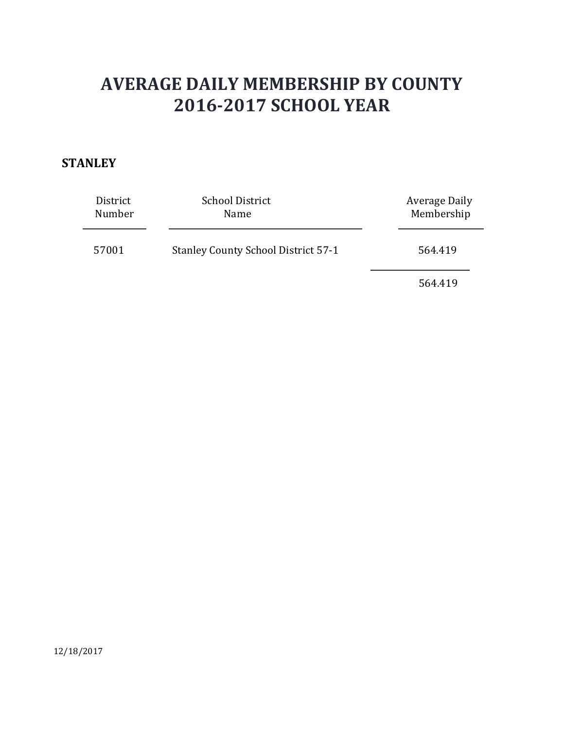### **STANLEY**

| District<br>Number | <b>School District</b><br>Name             | Average Daily<br>Membership |
|--------------------|--------------------------------------------|-----------------------------|
| 57001              | <b>Stanley County School District 57-1</b> | 564.419                     |
|                    |                                            | 564.419                     |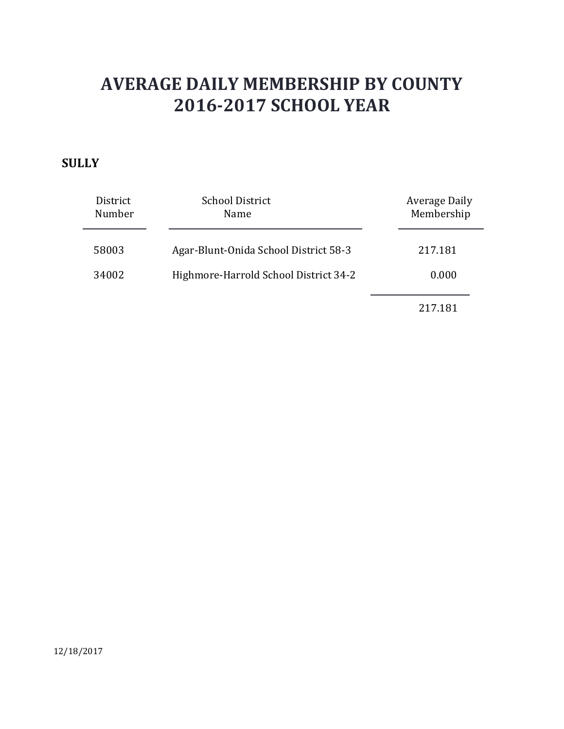### **SULLY**

| District<br>Number | <b>School District</b><br>Name        | Average Daily<br>Membership |
|--------------------|---------------------------------------|-----------------------------|
| 58003              | Agar-Blunt-Onida School District 58-3 | 217.181                     |
| 34002              | Highmore-Harrold School District 34-2 | 0.000                       |
|                    |                                       | 217.181                     |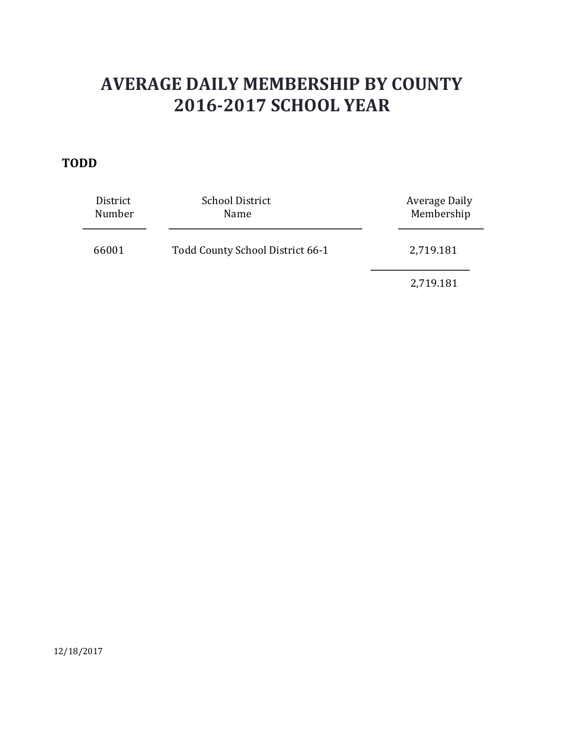#### **TODD**

| District<br>Number | <b>School District</b><br>Name   | Average Daily<br>Membership |
|--------------------|----------------------------------|-----------------------------|
| 66001              | Todd County School District 66-1 | 2,719.181                   |
|                    |                                  | 2,719.181                   |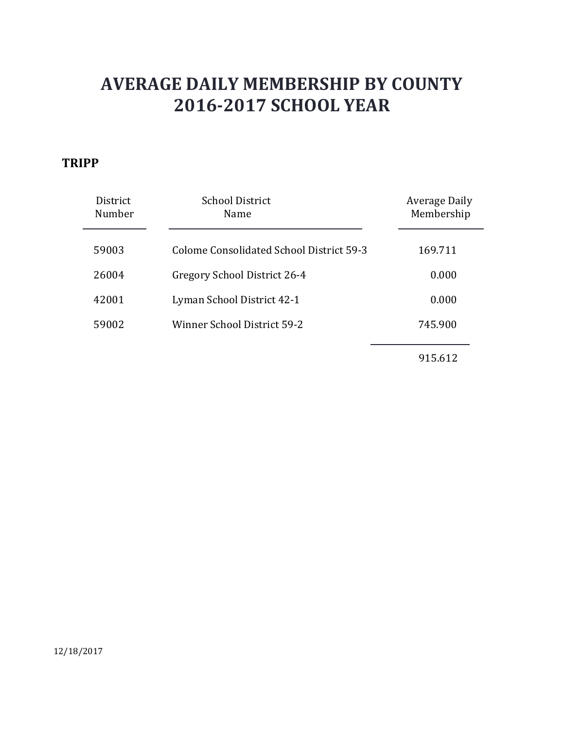#### **TRIPP**

| <b>District</b><br>Number | <b>School District</b><br>Name           | Average Daily<br>Membership |
|---------------------------|------------------------------------------|-----------------------------|
| 59003                     | Colome Consolidated School District 59-3 | 169.711                     |
| 26004                     | Gregory School District 26-4             | 0.000                       |
| 42001                     | Lyman School District 42-1               | 0.000                       |
| 59002                     | <b>Winner School District 59-2</b>       | 745.900                     |
|                           |                                          | 915.612                     |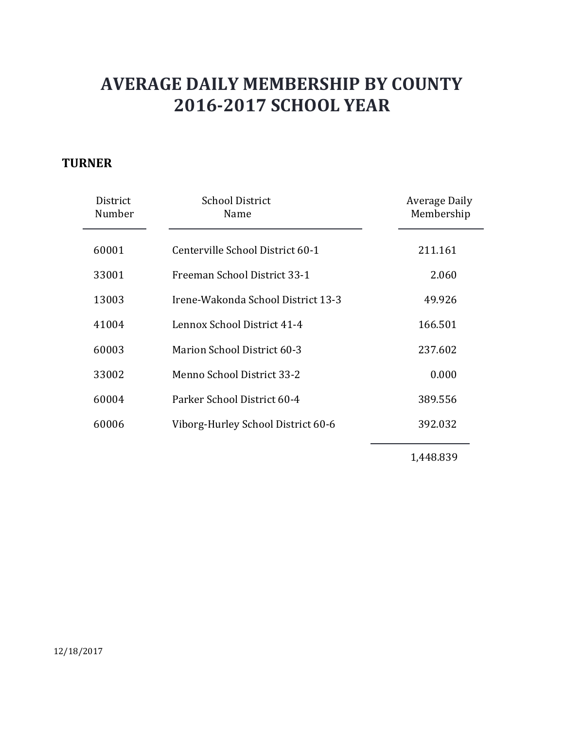### **TURNER**

| District<br>Number | <b>School District</b><br>Name     | Average Daily<br>Membership |
|--------------------|------------------------------------|-----------------------------|
| 60001              | Centerville School District 60-1   | 211.161                     |
| 33001              | Freeman School District 33-1       | 2.060                       |
| 13003              | Irene-Wakonda School District 13-3 | 49.926                      |
| 41004              | Lennox School District 41-4        | 166.501                     |
| 60003              | <b>Marion School District 60-3</b> | 237.602                     |
| 33002              | Menno School District 33-2         | 0.000                       |
| 60004              | Parker School District 60-4        | 389.556                     |
| 60006              | Viborg-Hurley School District 60-6 | 392.032                     |
|                    |                                    |                             |

1,448.839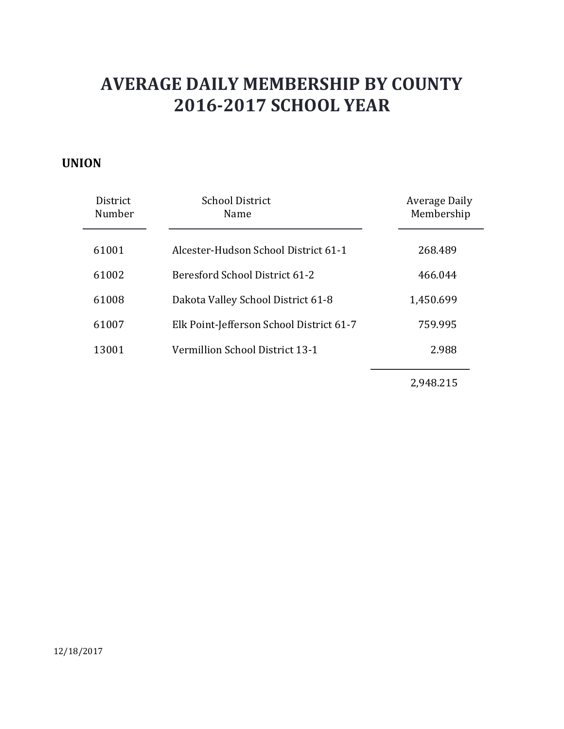#### **UNION**

| <b>District</b><br>Number | <b>School District</b><br>Name           | <b>Average Daily</b><br>Membership |
|---------------------------|------------------------------------------|------------------------------------|
| 61001                     | Alcester-Hudson School District 61-1     | 268.489                            |
| 61002                     | Beresford School District 61-2           | 466.044                            |
| 61008                     | Dakota Valley School District 61-8       | 1,450.699                          |
| 61007                     | Elk Point-Jefferson School District 61-7 | 759.995                            |
| 13001                     | Vermillion School District 13-1          | 2.988                              |
|                           |                                          |                                    |

2,948.215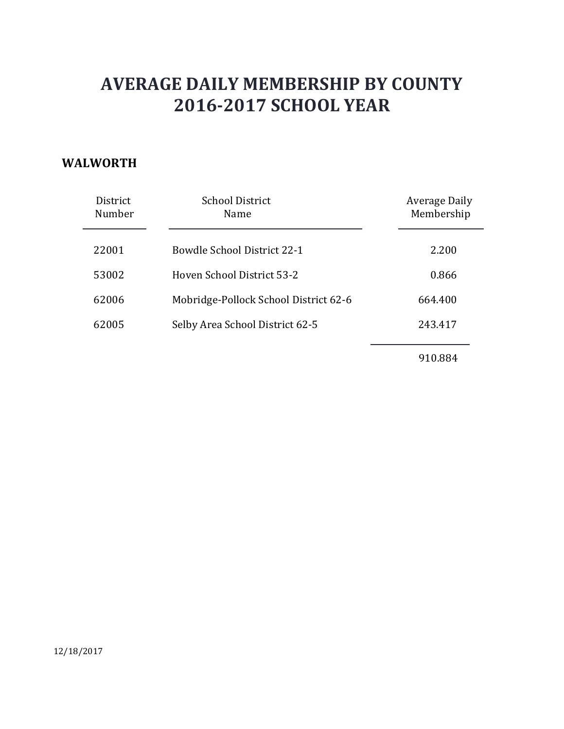#### **WALWORTH**

| District<br>Number | <b>School District</b><br>Name        | Average Daily<br>Membership |
|--------------------|---------------------------------------|-----------------------------|
| 22001              | Bowdle School District 22-1           | 2.200                       |
| 53002              | Hoven School District 53-2            | 0.866                       |
| 62006              | Mobridge-Pollock School District 62-6 | 664.400                     |
| 62005              | Selby Area School District 62-5       | 243.417                     |
|                    |                                       |                             |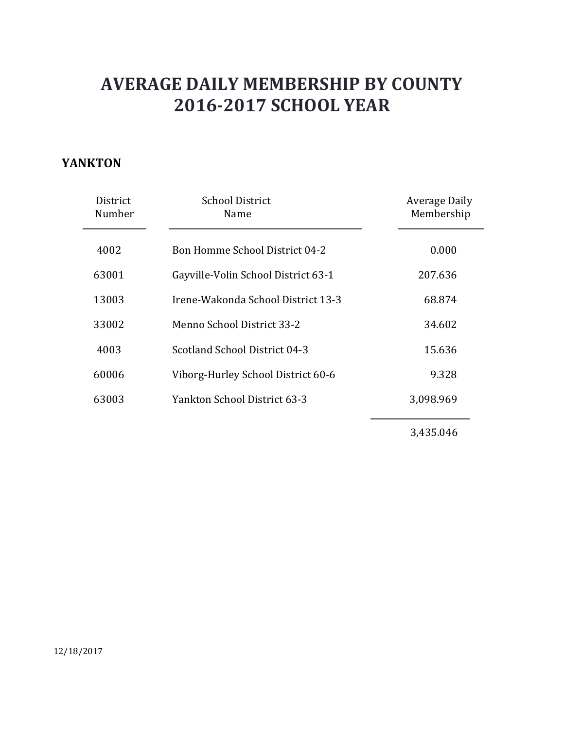#### **YANKTON**

| District<br>Number | <b>School District</b><br>Name        | Average Daily<br>Membership |
|--------------------|---------------------------------------|-----------------------------|
| 4002               | <b>Bon Homme School District 04-2</b> | 0.000                       |
| 63001              | Gayville-Volin School District 63-1   | 207.636                     |
| 13003              | Irene-Wakonda School District 13-3    | 68.874                      |
| 33002              | Menno School District 33-2            | 34.602                      |
| 4003               | Scotland School District 04-3         | 15.636                      |
| 60006              | Viborg-Hurley School District 60-6    | 9.328                       |
| 63003              | Yankton School District 63-3          | 3,098.969                   |
|                    |                                       | 3,435.046                   |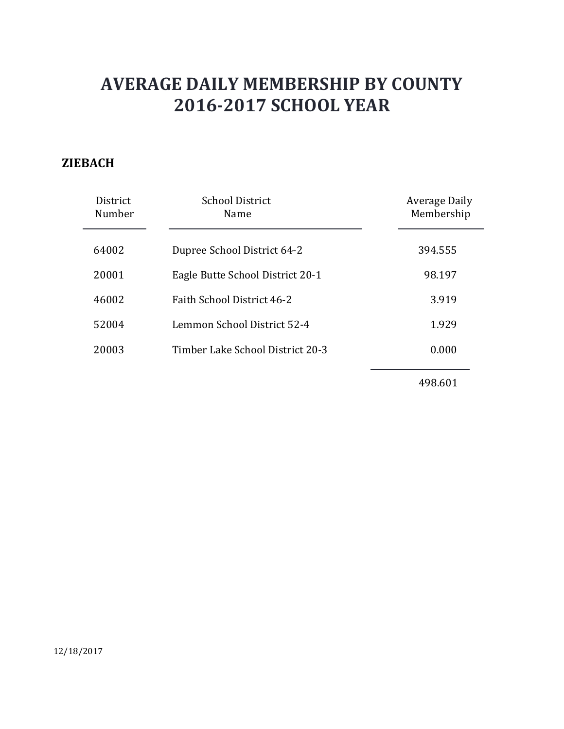### **ZIEBACH**

| District<br>Number | <b>School District</b><br>Name   | <b>Average Daily</b><br>Membership |
|--------------------|----------------------------------|------------------------------------|
| 64002              | Dupree School District 64-2      | 394.555                            |
| 20001              | Eagle Butte School District 20-1 | 98.197                             |
| 46002              | Faith School District 46-2       | 3.919                              |
| 52004              | Lemmon School District 52-4      | 1.929                              |
| 20003              | Timber Lake School District 20-3 | 0.000                              |
|                    |                                  |                                    |